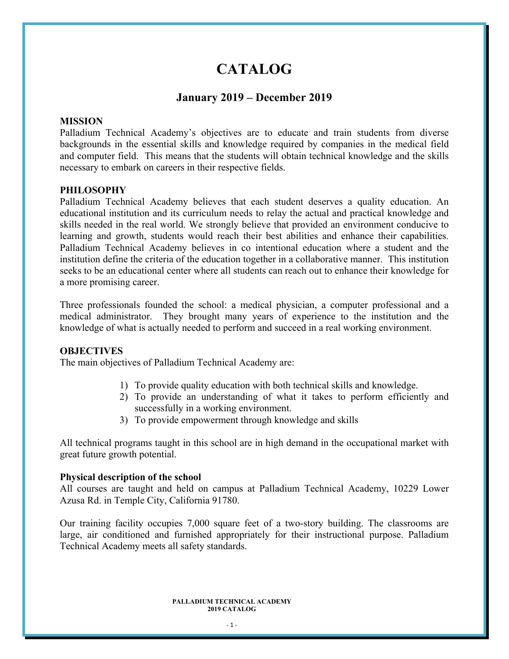# **CATALOG**

### **January 2019 – December 2019**

#### **MISSION**

Palladium Technical Academy's objectives are to educate and train students from diverse backgrounds in the essential skills and knowledge required by companies in the medical field and computer field. This means that the students will obtain technical knowledge and the skills necessary to embark on careers in their respective fields.

#### **PHILOSOPHY**

Palladium Technical Academy believes that each student deserves a quality education. An educational institution and its curriculum needs to relay the actual and practical knowledge and skills needed in the real world. We strongly believe that provided an environment conducive to learning and growth, students would reach their best abilities and enhance their capabilities. Palladium Technical Academy believes in co intentional education where a student and the institution define the criteria of the education together in a collaborative manner. This institution seeks to be an educational center where all students can reach out to enhance their knowledge for a more promising career.

Three professionals founded the school: a medical physician, a computer professional and a medical administrator. They brought many years of experience to the institution and the knowledge of what is actually needed to perform and succeed in a real working environment.

#### **OBJECTIVES**

The main objectives of Palladium Technical Academy are:

- 1) To provide quality education with both technical skills and knowledge.
- 2) To provide an understanding of what it takes to perform efficiently and successfully in a working environment.
- 3) To provide empowerment through knowledge and skills

All technical programs taught in this school are in high demand in the occupational market with great future growth potential.

#### **Physical description of the school**

All courses are taught and held on campus at Palladium Technical Academy, 10229 Lower Azusa Rd. in Temple City, California 91780.

Our training facility occupies 7,000 square feet of a two-story building. The classrooms are large, air conditioned and furnished appropriately for their instructional purpose. Palladium Technical Academy meets all safety standards.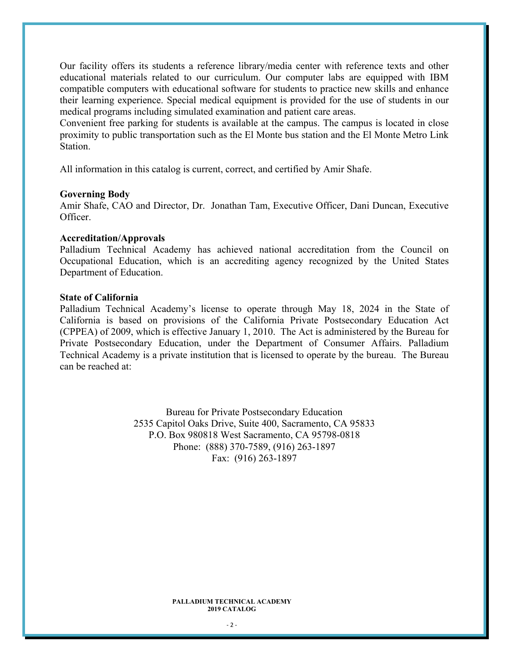Our facility offers its students a reference library/media center with reference texts and other educational materials related to our curriculum. Our computer labs are equipped with IBM compatible computers with educational software for students to practice new skills and enhance their learning experience. Special medical equipment is provided for the use of students in our medical programs including simulated examination and patient care areas.

Convenient free parking for students is available at the campus. The campus is located in close proximity to public transportation such as the El Monte bus station and the El Monte Metro Link Station.

All information in this catalog is current, correct, and certified by Amir Shafe.

#### **Governing Body**

Amir Shafe, CAO and Director, Dr. Jonathan Tam, Executive Officer, Dani Duncan, Executive Officer.

#### **Accreditation/Approvals**

Palladium Technical Academy has achieved national accreditation from the Council on Occupational Education, which is an accrediting agency recognized by the United States Department of Education.

#### **State of California**

Palladium Technical Academy's license to operate through May 18, 2024 in the State of California is based on provisions of the California Private Postsecondary Education Act (CPPEA) of 2009, which is effective January 1, 2010. The Act is administered by the Bureau for Private Postsecondary Education, under the Department of Consumer Affairs. Palladium Technical Academy is a private institution that is licensed to operate by the bureau. The Bureau can be reached at:

> Bureau for Private Postsecondary Education 2535 Capitol Oaks Drive, Suite 400, Sacramento, CA 95833 P.O. Box 980818 West Sacramento, CA 95798-0818 Phone: (888) 370-7589, (916) 263-1897 Fax: (916) 263-1897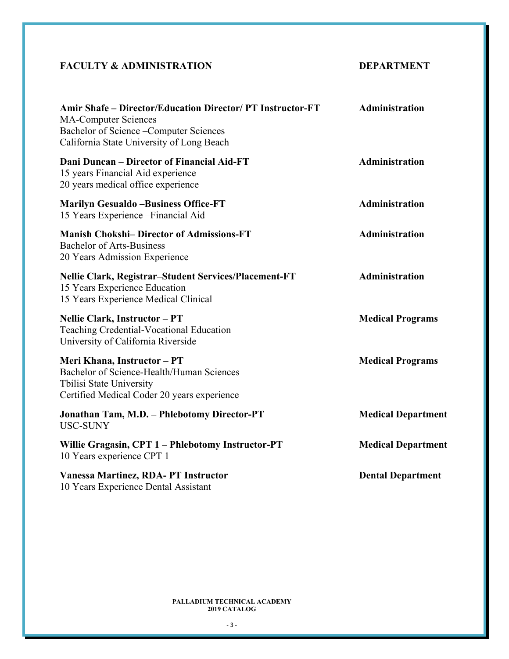## **FACULTY & ADMINISTRATION DEPARTMENT**

| <b>Amir Shafe – Director/Education Director/ PT Instructor-FT</b><br><b>MA-Computer Sciences</b><br>Bachelor of Science - Computer Sciences<br>California State University of Long Beach | Administration            |
|------------------------------------------------------------------------------------------------------------------------------------------------------------------------------------------|---------------------------|
| Dani Duncan – Director of Financial Aid-FT<br>15 years Financial Aid experience<br>20 years medical office experience                                                                    | Administration            |
| <b>Marilyn Gesualdo -Business Office-FT</b><br>15 Years Experience - Financial Aid                                                                                                       | Administration            |
| <b>Manish Chokshi- Director of Admissions-FT</b><br><b>Bachelor of Arts-Business</b><br>20 Years Admission Experience                                                                    | Administration            |
| <b>Nellie Clark, Registrar-Student Services/Placement-FT</b><br>15 Years Experience Education<br>15 Years Experience Medical Clinical                                                    | Administration            |
| Nellie Clark, Instructor - PT<br>Teaching Credential-Vocational Education<br>University of California Riverside                                                                          | <b>Medical Programs</b>   |
| Meri Khana, Instructor - PT<br>Bachelor of Science-Health/Human Sciences<br>Tbilisi State University<br>Certified Medical Coder 20 years experience                                      | <b>Medical Programs</b>   |
| Jonathan Tam, M.D. - Phlebotomy Director-PT<br><b>USC-SUNY</b>                                                                                                                           | <b>Medical Department</b> |
| Willie Gragasin, CPT 1 - Phlebotomy Instructor-PT<br>10 Years experience CPT 1                                                                                                           | <b>Medical Department</b> |
| <b>Vanessa Martinez, RDA-PT Instructor</b><br>10 Years Experience Dental Assistant                                                                                                       | <b>Dental Department</b>  |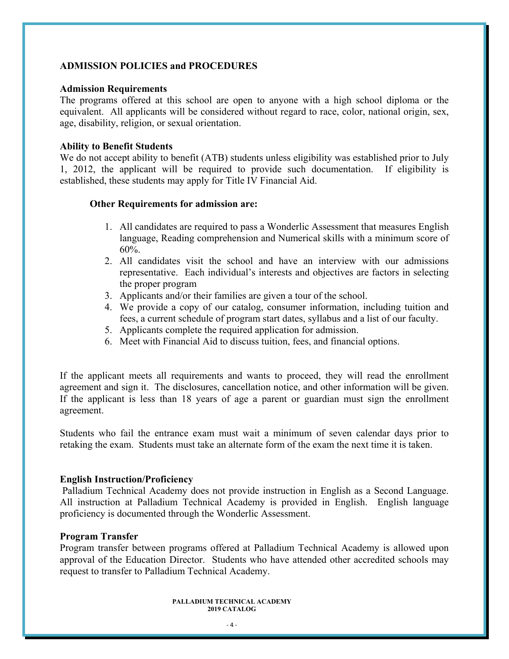#### **ADMISSION POLICIES and PROCEDURES**

#### **Admission Requirements**

The programs offered at this school are open to anyone with a high school diploma or the equivalent. All applicants will be considered without regard to race, color, national origin, sex, age, disability, religion, or sexual orientation.

#### **Ability to Benefit Students**

We do not accept ability to benefit (ATB) students unless eligibility was established prior to July 1, 2012, the applicant will be required to provide such documentation. If eligibility is established, these students may apply for Title IV Financial Aid.

#### **Other Requirements for admission are:**

- 1. All candidates are required to pass a Wonderlic Assessment that measures English language, Reading comprehension and Numerical skills with a minimum score of 60%.
- 2. All candidates visit the school and have an interview with our admissions representative. Each individual's interests and objectives are factors in selecting the proper program
- 3. Applicants and/or their families are given a tour of the school.
- 4. We provide a copy of our catalog, consumer information, including tuition and fees, a current schedule of program start dates, syllabus and a list of our faculty.
- 5. Applicants complete the required application for admission.
- 6. Meet with Financial Aid to discuss tuition, fees, and financial options.

If the applicant meets all requirements and wants to proceed, they will read the enrollment agreement and sign it. The disclosures, cancellation notice, and other information will be given. If the applicant is less than 18 years of age a parent or guardian must sign the enrollment agreement.

Students who fail the entrance exam must wait a minimum of seven calendar days prior to retaking the exam. Students must take an alternate form of the exam the next time it is taken.

#### **English Instruction/Proficiency**

 Palladium Technical Academy does not provide instruction in English as a Second Language. All instruction at Palladium Technical Academy is provided in English. English language proficiency is documented through the Wonderlic Assessment.

#### **Program Transfer**

Program transfer between programs offered at Palladium Technical Academy is allowed upon approval of the Education Director. Students who have attended other accredited schools may request to transfer to Palladium Technical Academy.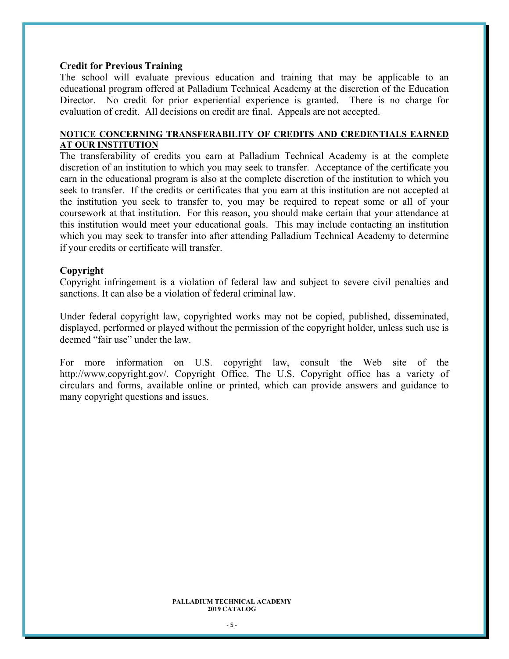#### **Credit for Previous Training**

The school will evaluate previous education and training that may be applicable to an educational program offered at Palladium Technical Academy at the discretion of the Education Director. No credit for prior experiential experience is granted. There is no charge for evaluation of credit. All decisions on credit are final. Appeals are not accepted.

#### **NOTICE CONCERNING TRANSFERABILITY OF CREDITS AND CREDENTIALS EARNED AT OUR INSTITUTION**

The transferability of credits you earn at Palladium Technical Academy is at the complete discretion of an institution to which you may seek to transfer. Acceptance of the certificate you earn in the educational program is also at the complete discretion of the institution to which you seek to transfer. If the credits or certificates that you earn at this institution are not accepted at the institution you seek to transfer to, you may be required to repeat some or all of your coursework at that institution. For this reason, you should make certain that your attendance at this institution would meet your educational goals. This may include contacting an institution which you may seek to transfer into after attending Palladium Technical Academy to determine if your credits or certificate will transfer.

#### **Copyright**

Copyright infringement is a violation of federal law and subject to severe civil penalties and sanctions. It can also be a violation of federal criminal law.

Under federal copyright law, copyrighted works may not be copied, published, disseminated, displayed, performed or played without the permission of the copyright holder, unless such use is deemed "fair use" under the law.

For more information on U.S. copyright law, consult the Web site of the http://www.copyright.gov/. Copyright Office. The U.S. Copyright office has a variety of circulars and forms, available online or printed, which can provide answers and guidance to many copyright questions and issues.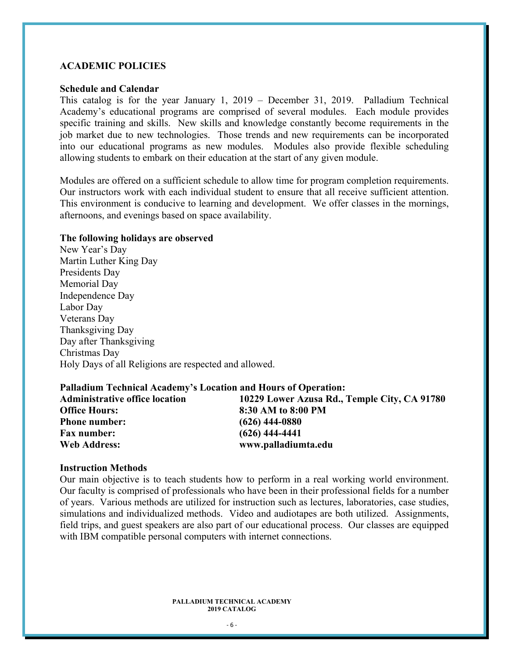#### **ACADEMIC POLICIES**

#### **Schedule and Calendar**

This catalog is for the year January 1, 2019 – December 31, 2019. Palladium Technical Academy's educational programs are comprised of several modules. Each module provides specific training and skills. New skills and knowledge constantly become requirements in the job market due to new technologies. Those trends and new requirements can be incorporated into our educational programs as new modules. Modules also provide flexible scheduling allowing students to embark on their education at the start of any given module.

Modules are offered on a sufficient schedule to allow time for program completion requirements. Our instructors work with each individual student to ensure that all receive sufficient attention. This environment is conducive to learning and development. We offer classes in the mornings, afternoons, and evenings based on space availability.

#### **The following holidays are observed**

New Year's Day Martin Luther King Day Presidents Day Memorial Day Independence Day Labor Day Veterans Day Thanksgiving Day Day after Thanksgiving Christmas Day Holy Days of all Religions are respected and allowed.

| <b>Palladium Technical Academy's Location and Hours of Operation:</b> |                                              |
|-----------------------------------------------------------------------|----------------------------------------------|
| <b>Administrative office location</b>                                 | 10229 Lower Azusa Rd., Temple City, CA 91780 |
| <b>Office Hours:</b>                                                  | 8:30 AM to 8:00 PM                           |
| <b>Phone number:</b>                                                  | $(626)$ 444-0880                             |
| <b>Fax number:</b>                                                    | $(626)$ 444-4441                             |
| <b>Web Address:</b>                                                   | www.palladiumta.edu                          |

#### **Instruction Methods**

Our main objective is to teach students how to perform in a real working world environment. Our faculty is comprised of professionals who have been in their professional fields for a number of years. Various methods are utilized for instruction such as lectures, laboratories, case studies, simulations and individualized methods. Video and audiotapes are both utilized. Assignments, field trips, and guest speakers are also part of our educational process. Our classes are equipped with IBM compatible personal computers with internet connections.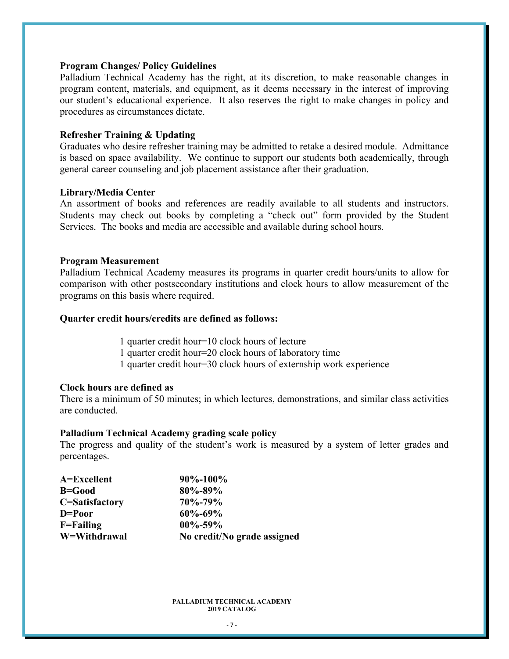#### **Program Changes/ Policy Guidelines**

Palladium Technical Academy has the right, at its discretion, to make reasonable changes in program content, materials, and equipment, as it deems necessary in the interest of improving our student's educational experience. It also reserves the right to make changes in policy and procedures as circumstances dictate.

#### **Refresher Training & Updating**

Graduates who desire refresher training may be admitted to retake a desired module. Admittance is based on space availability. We continue to support our students both academically, through general career counseling and job placement assistance after their graduation.

#### **Library/Media Center**

An assortment of books and references are readily available to all students and instructors. Students may check out books by completing a "check out" form provided by the Student Services. The books and media are accessible and available during school hours.

#### **Program Measurement**

Palladium Technical Academy measures its programs in quarter credit hours/units to allow for comparison with other postsecondary institutions and clock hours to allow measurement of the programs on this basis where required.

#### **Quarter credit hours/credits are defined as follows:**

1 quarter credit hour=10 clock hours of lecture

1 quarter credit hour=20 clock hours of laboratory time

1 quarter credit hour=30 clock hours of externship work experience

#### **Clock hours are defined as**

There is a minimum of 50 minutes; in which lectures, demonstrations, and similar class activities are conducted.

#### **Palladium Technical Academy grading scale policy**

The progress and quality of the student's work is measured by a system of letter grades and percentages.

| $A=Excellent$      | $90\% - 100\%$              |
|--------------------|-----------------------------|
| B=Good             | $80\% - 89\%$               |
| C=Satisfactory     | 70\%-79\%                   |
| D=Poor             | $60\% - 69\%$               |
| $F = F \n  reling$ | $00\% - 59\%$               |
| W=Withdrawal       | No credit/No grade assigned |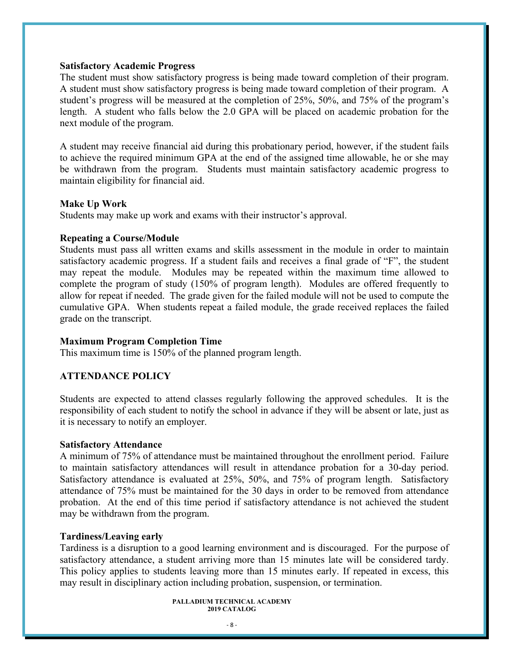#### **Satisfactory Academic Progress**

The student must show satisfactory progress is being made toward completion of their program. A student must show satisfactory progress is being made toward completion of their program. A student's progress will be measured at the completion of 25%, 50%, and 75% of the program's length. A student who falls below the 2.0 GPA will be placed on academic probation for the next module of the program.

A student may receive financial aid during this probationary period, however, if the student fails to achieve the required minimum GPA at the end of the assigned time allowable, he or she may be withdrawn from the program. Students must maintain satisfactory academic progress to maintain eligibility for financial aid.

#### **Make Up Work**

Students may make up work and exams with their instructor's approval.

#### **Repeating a Course/Module**

Students must pass all written exams and skills assessment in the module in order to maintain satisfactory academic progress. If a student fails and receives a final grade of "F", the student may repeat the module. Modules may be repeated within the maximum time allowed to complete the program of study (150% of program length). Modules are offered frequently to allow for repeat if needed. The grade given for the failed module will not be used to compute the cumulative GPA. When students repeat a failed module, the grade received replaces the failed grade on the transcript.

#### **Maximum Program Completion Time**

This maximum time is 150% of the planned program length.

#### **ATTENDANCE POLICY**

Students are expected to attend classes regularly following the approved schedules. It is the responsibility of each student to notify the school in advance if they will be absent or late, just as it is necessary to notify an employer.

#### **Satisfactory Attendance**

A minimum of 75% of attendance must be maintained throughout the enrollment period. Failure to maintain satisfactory attendances will result in attendance probation for a 30-day period. Satisfactory attendance is evaluated at 25%, 50%, and 75% of program length. Satisfactory attendance of 75% must be maintained for the 30 days in order to be removed from attendance probation. At the end of this time period if satisfactory attendance is not achieved the student may be withdrawn from the program.

#### **Tardiness/Leaving early**

Tardiness is a disruption to a good learning environment and is discouraged. For the purpose of satisfactory attendance, a student arriving more than 15 minutes late will be considered tardy. This policy applies to students leaving more than 15 minutes early. If repeated in excess, this may result in disciplinary action including probation, suspension, or termination.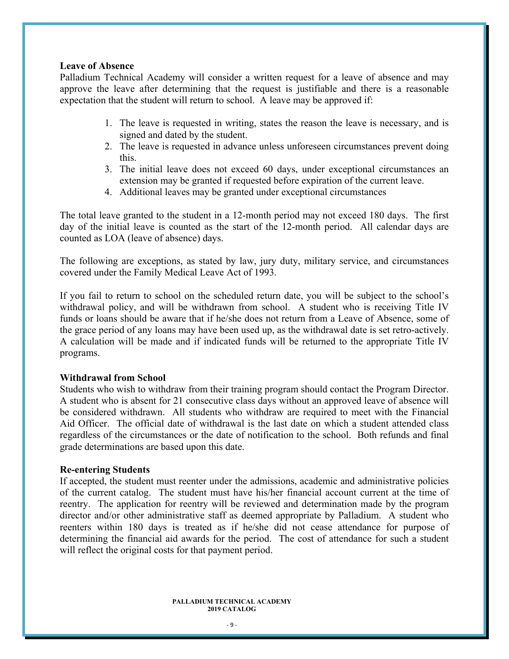#### **Leave of Absence**

Palladium Technical Academy will consider a written request for a leave of absence and may approve the leave after determining that the request is justifiable and there is a reasonable expectation that the student will return to school. A leave may be approved if:

- 1. The leave is requested in writing, states the reason the leave is necessary, and is signed and dated by the student.
- 2. The leave is requested in advance unless unforeseen circumstances prevent doing this.
- 3. The initial leave does not exceed 60 days, under exceptional circumstances an extension may be granted if requested before expiration of the current leave.
- 4. Additional leaves may be granted under exceptional circumstances

The total leave granted to the student in a 12-month period may not exceed 180 days. The first day of the initial leave is counted as the start of the 12-month period. All calendar days are counted as LOA (leave of absence) days.

The following are exceptions, as stated by law, jury duty, military service, and circumstances covered under the Family Medical Leave Act of 1993.

If you fail to return to school on the scheduled return date, you will be subject to the school's withdrawal policy, and will be withdrawn from school. A student who is receiving Title IV funds or loans should be aware that if he/she does not return from a Leave of Absence, some of the grace period of any loans may have been used up, as the withdrawal date is set retro-actively. A calculation will be made and if indicated funds will be returned to the appropriate Title IV programs.

#### **Withdrawal from School**

Students who wish to withdraw from their training program should contact the Program Director. A student who is absent for 21 consecutive class days without an approved leave of absence will be considered withdrawn. All students who withdraw are required to meet with the Financial Aid Officer. The official date of withdrawal is the last date on which a student attended class regardless of the circumstances or the date of notification to the school. Both refunds and final grade determinations are based upon this date.

#### **Re-entering Students**

If accepted, the student must reenter under the admissions, academic and administrative policies of the current catalog. The student must have his/her financial account current at the time of reentry. The application for reentry will be reviewed and determination made by the program director and/or other administrative staff as deemed appropriate by Palladium. A student who reenters within 180 days is treated as if he/she did not cease attendance for purpose of determining the financial aid awards for the period. The cost of attendance for such a student will reflect the original costs for that payment period.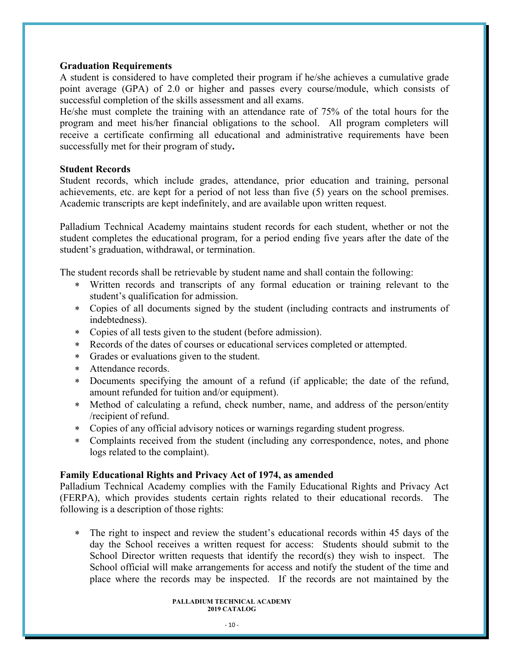#### **Graduation Requirements**

A student is considered to have completed their program if he/she achieves a cumulative grade point average (GPA) of 2.0 or higher and passes every course/module, which consists of successful completion of the skills assessment and all exams.

He/she must complete the training with an attendance rate of 75% of the total hours for the program and meet his/her financial obligations to the school. All program completers will receive a certificate confirming all educational and administrative requirements have been successfully met for their program of study**.** 

#### **Student Records**

Student records, which include grades, attendance, prior education and training, personal achievements, etc. are kept for a period of not less than five (5) years on the school premises. Academic transcripts are kept indefinitely, and are available upon written request.

Palladium Technical Academy maintains student records for each student, whether or not the student completes the educational program, for a period ending five years after the date of the student's graduation, withdrawal, or termination.

The student records shall be retrievable by student name and shall contain the following:

- Written records and transcripts of any formal education or training relevant to the student's qualification for admission.
- Copies of all documents signed by the student (including contracts and instruments of indebtedness).
- Copies of all tests given to the student (before admission).
- Records of the dates of courses or educational services completed or attempted.
- Grades or evaluations given to the student.
- Attendance records.
- Documents specifying the amount of a refund (if applicable; the date of the refund, amount refunded for tuition and/or equipment).
- Method of calculating a refund, check number, name, and address of the person/entity /recipient of refund.
- Copies of any official advisory notices or warnings regarding student progress.
- Complaints received from the student (including any correspondence, notes, and phone logs related to the complaint).

#### **Family Educational Rights and Privacy Act of 1974, as amended**

Palladium Technical Academy complies with the Family Educational Rights and Privacy Act (FERPA), which provides students certain rights related to their educational records. The following is a description of those rights:

 The right to inspect and review the student's educational records within 45 days of the day the School receives a written request for access: Students should submit to the School Director written requests that identify the record(s) they wish to inspect. The School official will make arrangements for access and notify the student of the time and place where the records may be inspected. If the records are not maintained by the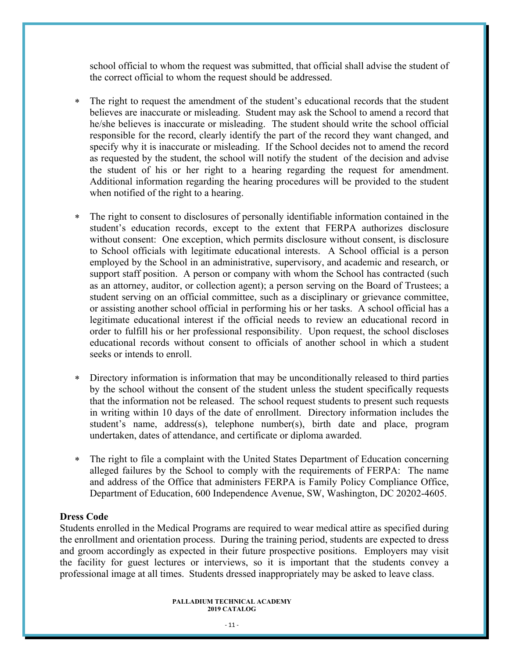school official to whom the request was submitted, that official shall advise the student of the correct official to whom the request should be addressed.

- The right to request the amendment of the student's educational records that the student believes are inaccurate or misleading. Student may ask the School to amend a record that he/she believes is inaccurate or misleading. The student should write the school official responsible for the record, clearly identify the part of the record they want changed, and specify why it is inaccurate or misleading. If the School decides not to amend the record as requested by the student, the school will notify the student of the decision and advise the student of his or her right to a hearing regarding the request for amendment. Additional information regarding the hearing procedures will be provided to the student when notified of the right to a hearing.
- The right to consent to disclosures of personally identifiable information contained in the student's education records, except to the extent that FERPA authorizes disclosure without consent: One exception, which permits disclosure without consent, is disclosure to School officials with legitimate educational interests. A School official is a person employed by the School in an administrative, supervisory, and academic and research, or support staff position. A person or company with whom the School has contracted (such as an attorney, auditor, or collection agent); a person serving on the Board of Trustees; a student serving on an official committee, such as a disciplinary or grievance committee, or assisting another school official in performing his or her tasks. A school official has a legitimate educational interest if the official needs to review an educational record in order to fulfill his or her professional responsibility. Upon request, the school discloses educational records without consent to officials of another school in which a student seeks or intends to enroll.
- Directory information is information that may be unconditionally released to third parties by the school without the consent of the student unless the student specifically requests that the information not be released. The school request students to present such requests in writing within 10 days of the date of enrollment. Directory information includes the student's name, address(s), telephone number(s), birth date and place, program undertaken, dates of attendance, and certificate or diploma awarded.
- The right to file a complaint with the United States Department of Education concerning alleged failures by the School to comply with the requirements of FERPA: The name and address of the Office that administers FERPA is Family Policy Compliance Office, Department of Education, 600 Independence Avenue, SW, Washington, DC 20202-4605.

#### **Dress Code**

Students enrolled in the Medical Programs are required to wear medical attire as specified during the enrollment and orientation process. During the training period, students are expected to dress and groom accordingly as expected in their future prospective positions. Employers may visit the facility for guest lectures or interviews, so it is important that the students convey a professional image at all times. Students dressed inappropriately may be asked to leave class.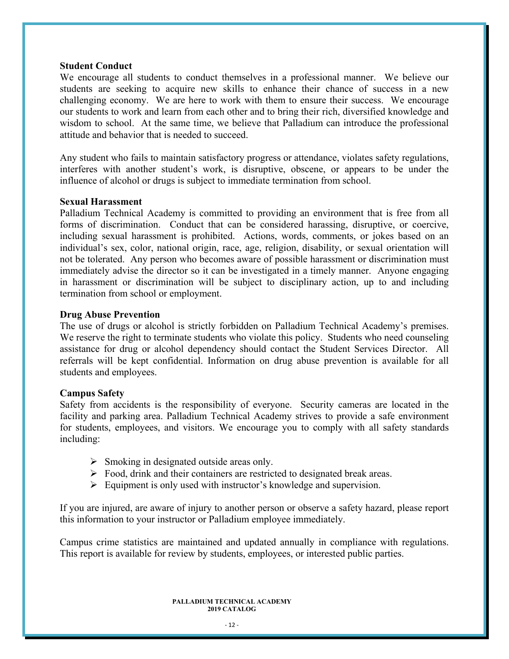#### **Student Conduct**

We encourage all students to conduct themselves in a professional manner. We believe our students are seeking to acquire new skills to enhance their chance of success in a new challenging economy. We are here to work with them to ensure their success. We encourage our students to work and learn from each other and to bring their rich, diversified knowledge and wisdom to school. At the same time, we believe that Palladium can introduce the professional attitude and behavior that is needed to succeed.

Any student who fails to maintain satisfactory progress or attendance, violates safety regulations, interferes with another student's work, is disruptive, obscene, or appears to be under the influence of alcohol or drugs is subject to immediate termination from school.

#### **Sexual Harassment**

Palladium Technical Academy is committed to providing an environment that is free from all forms of discrimination. Conduct that can be considered harassing, disruptive, or coercive, including sexual harassment is prohibited. Actions, words, comments, or jokes based on an individual's sex, color, national origin, race, age, religion, disability, or sexual orientation will not be tolerated. Any person who becomes aware of possible harassment or discrimination must immediately advise the director so it can be investigated in a timely manner. Anyone engaging in harassment or discrimination will be subject to disciplinary action, up to and including termination from school or employment.

#### **Drug Abuse Prevention**

The use of drugs or alcohol is strictly forbidden on Palladium Technical Academy's premises. We reserve the right to terminate students who violate this policy. Students who need counseling assistance for drug or alcohol dependency should contact the Student Services Director. All referrals will be kept confidential. Information on drug abuse prevention is available for all students and employees.

#### **Campus Safety**

Safety from accidents is the responsibility of everyone. Security cameras are located in the facility and parking area. Palladium Technical Academy strives to provide a safe environment for students, employees, and visitors. We encourage you to comply with all safety standards including:

- $\triangleright$  Smoking in designated outside areas only.
- Food, drink and their containers are restricted to designated break areas.
- $\triangleright$  Equipment is only used with instructor's knowledge and supervision.

If you are injured, are aware of injury to another person or observe a safety hazard, please report this information to your instructor or Palladium employee immediately.

Campus crime statistics are maintained and updated annually in compliance with regulations. This report is available for review by students, employees, or interested public parties.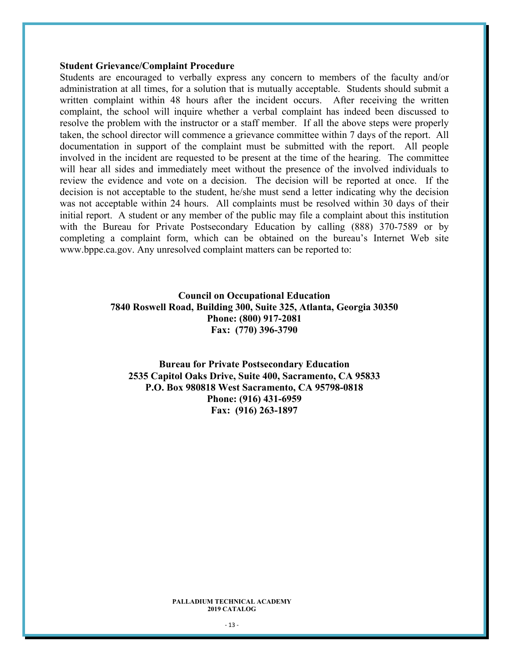#### **Student Grievance/Complaint Procedure**

Students are encouraged to verbally express any concern to members of the faculty and/or administration at all times, for a solution that is mutually acceptable. Students should submit a written complaint within 48 hours after the incident occurs. After receiving the written complaint, the school will inquire whether a verbal complaint has indeed been discussed to resolve the problem with the instructor or a staff member. If all the above steps were properly taken, the school director will commence a grievance committee within 7 days of the report. All documentation in support of the complaint must be submitted with the report. All people involved in the incident are requested to be present at the time of the hearing. The committee will hear all sides and immediately meet without the presence of the involved individuals to review the evidence and vote on a decision. The decision will be reported at once. If the decision is not acceptable to the student, he/she must send a letter indicating why the decision was not acceptable within 24 hours. All complaints must be resolved within 30 days of their initial report. A student or any member of the public may file a complaint about this institution with the Bureau for Private Postsecondary Education by calling (888) 370-7589 or by completing a complaint form, which can be obtained on the bureau's Internet Web site www.bppe.ca.gov. Any unresolved complaint matters can be reported to:

### **Council on Occupational Education 7840 Roswell Road, Building 300, Suite 325, Atlanta, Georgia 30350 Phone: (800) 917-2081 Fax: (770) 396-3790**

**Bureau for Private Postsecondary Education 2535 Capitol Oaks Drive, Suite 400, Sacramento, CA 95833 P.O. Box 980818 West Sacramento, CA 95798-0818 Phone: (916) 431-6959 Fax: (916) 263-1897**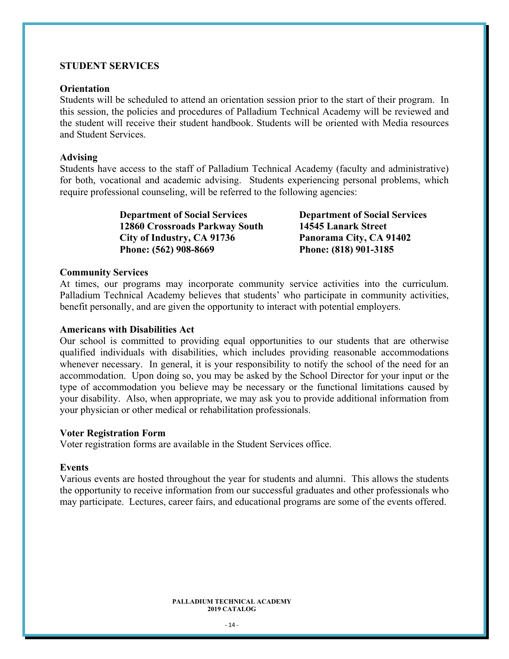#### **STUDENT SERVICES**

#### **Orientation**

Students will be scheduled to attend an orientation session prior to the start of their program. In this session, the policies and procedures of Palladium Technical Academy will be reviewed and the student will receive their student handbook. Students will be oriented with Media resources and Student Services.

#### **Advising**

Students have access to the staff of Palladium Technical Academy (faculty and administrative) for both, vocational and academic advising. Students experiencing personal problems, which require professional counseling, will be referred to the following agencies:

> **Department of Social Services Department of Social Services 12860 Crossroads Parkway South 14545 Lanark Street City of Industry, CA 91736 Panorama City, CA 91402 Phone: (562) 908-8669 Phone: (818) 901-3185**

#### **Community Services**

At times, our programs may incorporate community service activities into the curriculum. Palladium Technical Academy believes that students' who participate in community activities, benefit personally, and are given the opportunity to interact with potential employers.

#### **Americans with Disabilities Act**

Our school is committed to providing equal opportunities to our students that are otherwise qualified individuals with disabilities, which includes providing reasonable accommodations whenever necessary. In general, it is your responsibility to notify the school of the need for an accommodation. Upon doing so, you may be asked by the School Director for your input or the type of accommodation you believe may be necessary or the functional limitations caused by your disability. Also, when appropriate, we may ask you to provide additional information from your physician or other medical or rehabilitation professionals.

#### **Voter Registration Form**

Voter registration forms are available in the Student Services office.

#### **Events**

Various events are hosted throughout the year for students and alumni. This allows the students the opportunity to receive information from our successful graduates and other professionals who may participate. Lectures, career fairs, and educational programs are some of the events offered.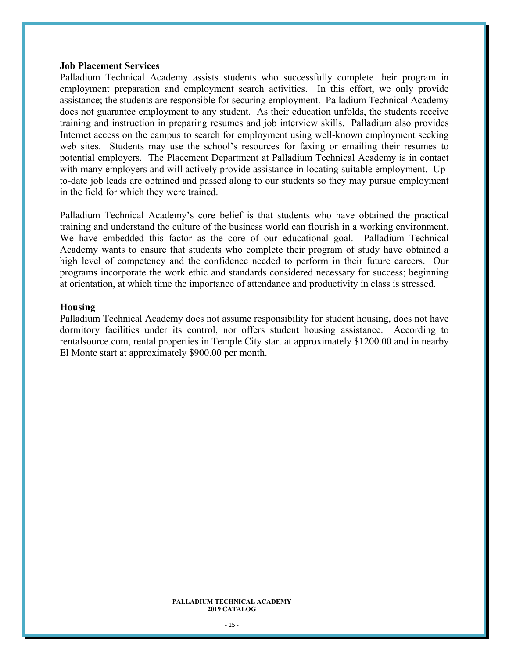#### **Job Placement Services**

Palladium Technical Academy assists students who successfully complete their program in employment preparation and employment search activities. In this effort, we only provide assistance; the students are responsible for securing employment. Palladium Technical Academy does not guarantee employment to any student. As their education unfolds, the students receive training and instruction in preparing resumes and job interview skills. Palladium also provides Internet access on the campus to search for employment using well-known employment seeking web sites. Students may use the school's resources for faxing or emailing their resumes to potential employers. The Placement Department at Palladium Technical Academy is in contact with many employers and will actively provide assistance in locating suitable employment. Upto-date job leads are obtained and passed along to our students so they may pursue employment in the field for which they were trained.

Palladium Technical Academy's core belief is that students who have obtained the practical training and understand the culture of the business world can flourish in a working environment. We have embedded this factor as the core of our educational goal. Palladium Technical Academy wants to ensure that students who complete their program of study have obtained a high level of competency and the confidence needed to perform in their future careers. Our programs incorporate the work ethic and standards considered necessary for success; beginning at orientation, at which time the importance of attendance and productivity in class is stressed.

#### **Housing**

Palladium Technical Academy does not assume responsibility for student housing, does not have dormitory facilities under its control, nor offers student housing assistance. According to rentalsource.com, rental properties in Temple City start at approximately \$1200.00 and in nearby El Monte start at approximately \$900.00 per month.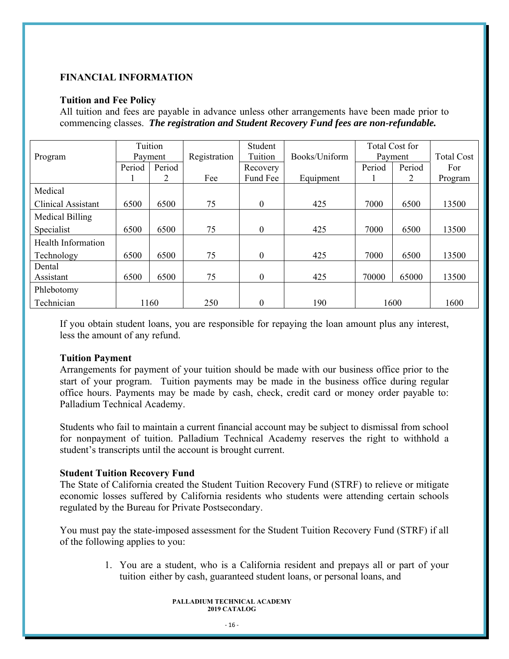### **FINANCIAL INFORMATION**

#### **Tuition and Fee Policy**

All tuition and fees are payable in advance unless other arrangements have been made prior to commencing classes. *The registration and Student Recovery Fund fees are non-refundable.* 

|                           |        | Tuition |              | Student          |               |        | Total Cost for |                   |
|---------------------------|--------|---------|--------------|------------------|---------------|--------|----------------|-------------------|
| Program                   |        | Payment | Registration | Tuition          | Books/Uniform |        | Payment        | <b>Total Cost</b> |
|                           | Period | Period  |              | Recovery         |               | Period | Period         | For               |
|                           |        | 2       | Fee          | Fund Fee         | Equipment     |        | 2              | Program           |
| Medical                   |        |         |              |                  |               |        |                |                   |
| <b>Clinical Assistant</b> | 6500   | 6500    | 75           | $\boldsymbol{0}$ | 425           | 7000   | 6500           | 13500             |
| Medical Billing           |        |         |              |                  |               |        |                |                   |
| Specialist                | 6500   | 6500    | 75           | $\boldsymbol{0}$ | 425           | 7000   | 6500           | 13500             |
| Health Information        |        |         |              |                  |               |        |                |                   |
| Technology                | 6500   | 6500    | 75           | $\boldsymbol{0}$ | 425           | 7000   | 6500           | 13500             |
| Dental                    |        |         |              |                  |               |        |                |                   |
| Assistant                 | 6500   | 6500    | 75           | $\boldsymbol{0}$ | 425           | 70000  | 65000          | 13500             |
| Phlebotomy                |        |         |              |                  |               |        |                |                   |
| Technician                |        | 1160    | 250          | $\theta$         | 190           |        | 1600           | 1600              |

If you obtain student loans, you are responsible for repaying the loan amount plus any interest, less the amount of any refund.

### **Tuition Payment**

Arrangements for payment of your tuition should be made with our business office prior to the start of your program. Tuition payments may be made in the business office during regular office hours. Payments may be made by cash, check, credit card or money order payable to: Palladium Technical Academy.

Students who fail to maintain a current financial account may be subject to dismissal from school for nonpayment of tuition. Palladium Technical Academy reserves the right to withhold a student's transcripts until the account is brought current.

### **Student Tuition Recovery Fund**

The State of California created the Student Tuition Recovery Fund (STRF) to relieve or mitigate economic losses suffered by California residents who students were attending certain schools regulated by the Bureau for Private Postsecondary.

You must pay the state-imposed assessment for the Student Tuition Recovery Fund (STRF) if all of the following applies to you:

> 1. You are a student, who is a California resident and prepays all or part of your tuition either by cash, guaranteed student loans, or personal loans, and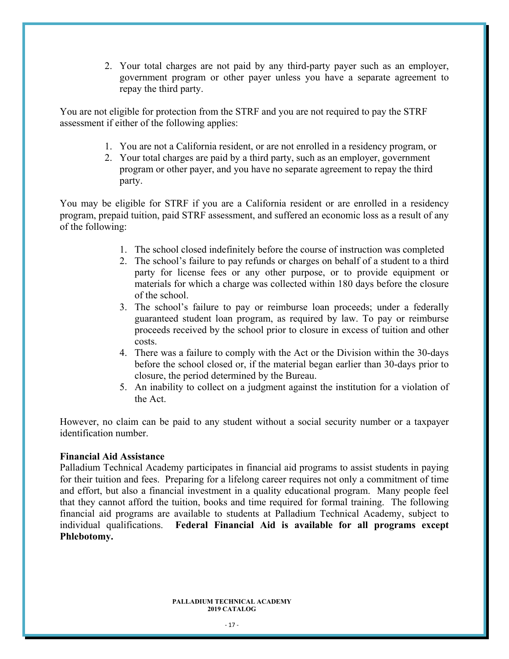2. Your total charges are not paid by any third-party payer such as an employer, government program or other payer unless you have a separate agreement to repay the third party.

You are not eligible for protection from the STRF and you are not required to pay the STRF assessment if either of the following applies:

- 1. You are not a California resident, or are not enrolled in a residency program, or
- 2. Your total charges are paid by a third party, such as an employer, government program or other payer, and you have no separate agreement to repay the third party.

You may be eligible for STRF if you are a California resident or are enrolled in a residency program, prepaid tuition, paid STRF assessment, and suffered an economic loss as a result of any of the following:

- 1. The school closed indefinitely before the course of instruction was completed
- 2. The school's failure to pay refunds or charges on behalf of a student to a third party for license fees or any other purpose, or to provide equipment or materials for which a charge was collected within 180 days before the closure of the school.
- 3. The school's failure to pay or reimburse loan proceeds; under a federally guaranteed student loan program, as required by law. To pay or reimburse proceeds received by the school prior to closure in excess of tuition and other costs.
- 4. There was a failure to comply with the Act or the Division within the 30-days before the school closed or, if the material began earlier than 30-days prior to closure, the period determined by the Bureau.
- 5. An inability to collect on a judgment against the institution for a violation of the Act.

However, no claim can be paid to any student without a social security number or a taxpayer identification number.

#### **Financial Aid Assistance**

Palladium Technical Academy participates in financial aid programs to assist students in paying for their tuition and fees. Preparing for a lifelong career requires not only a commitment of time and effort, but also a financial investment in a quality educational program. Many people feel that they cannot afford the tuition, books and time required for formal training. The following financial aid programs are available to students at Palladium Technical Academy, subject to individual qualifications. **Federal Financial Aid is available for all programs except Phlebotomy.**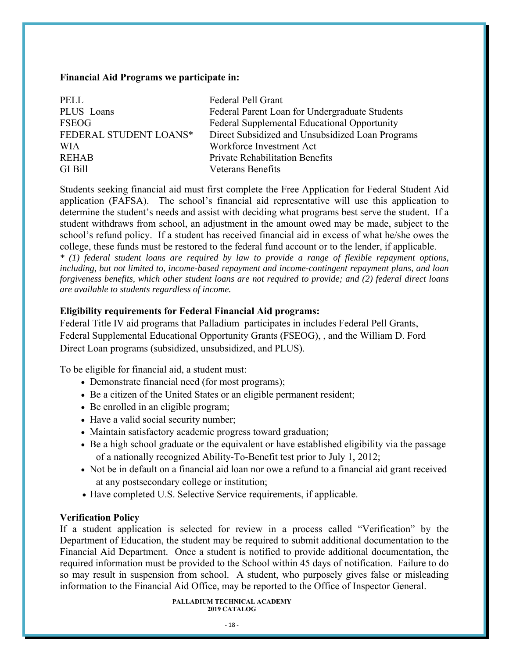#### **Financial Aid Programs we participate in:**

| PELL                   | Federal Pell Grant                               |
|------------------------|--------------------------------------------------|
| PLUS Loans             | Federal Parent Loan for Undergraduate Students   |
| <b>FSEOG</b>           | Federal Supplemental Educational Opportunity     |
| FEDERAL STUDENT LOANS* | Direct Subsidized and Unsubsidized Loan Programs |
| <b>WIA</b>             | Workforce Investment Act                         |
| <b>REHAB</b>           | <b>Private Rehabilitation Benefits</b>           |
| GI Bill                | Veterans Benefits                                |

Students seeking financial aid must first complete the Free Application for Federal Student Aid application (FAFSA). The school's financial aid representative will use this application to determine the student's needs and assist with deciding what programs best serve the student. If a student withdraws from school, an adjustment in the amount owed may be made, subject to the school's refund policy. If a student has received financial aid in excess of what he/she owes the college, these funds must be restored to the federal fund account or to the lender, if applicable.

*\* (1) federal student loans are required by law to provide a range of flexible repayment options, including, but not limited to, income-based repayment and income-contingent repayment plans, and loan forgiveness benefits, which other student loans are not required to provide; and (2) federal direct loans are available to students regardless of income.* 

### **Eligibility requirements for Federal Financial Aid programs:**

Federal Title IV aid programs that Palladium participates in includes Federal Pell Grants, Federal Supplemental Educational Opportunity Grants (FSEOG), , and the William D. Ford Direct Loan programs (subsidized, unsubsidized, and PLUS).

To be eligible for financial aid, a student must:

- Demonstrate financial need (for most programs);
- Be a citizen of the United States or an eligible permanent resident;
- Be enrolled in an eligible program;
- Have a valid social security number;
- Maintain satisfactory academic progress toward graduation;
- Be a high school graduate or the equivalent or have established eligibility via the passage of a nationally recognized Ability-To-Benefit test prior to July 1, 2012;
- Not be in default on a financial aid loan nor owe a refund to a financial aid grant received at any postsecondary college or institution;
- Have completed U.S. Selective Service requirements, if applicable.

### **Verification Policy**

If a student application is selected for review in a process called "Verification" by the Department of Education, the student may be required to submit additional documentation to the Financial Aid Department. Once a student is notified to provide additional documentation, the required information must be provided to the School within 45 days of notification. Failure to do so may result in suspension from school. A student, who purposely gives false or misleading information to the Financial Aid Office, may be reported to the Office of Inspector General.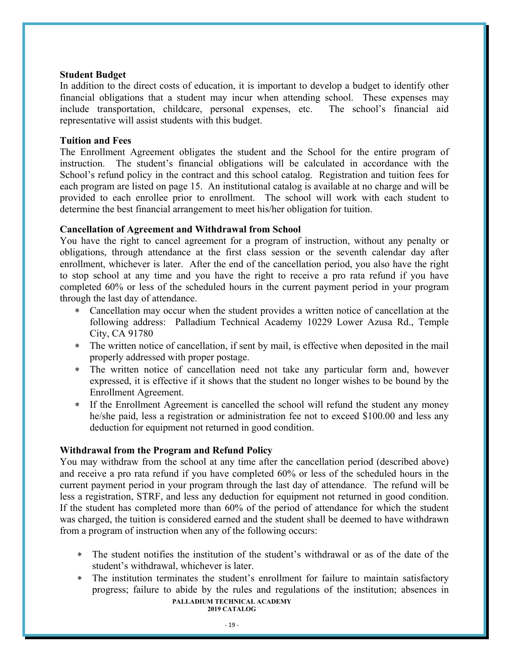#### **Student Budget**

In addition to the direct costs of education, it is important to develop a budget to identify other financial obligations that a student may incur when attending school. These expenses may include transportation, childcare, personal expenses, etc. The school's financial aid representative will assist students with this budget.

#### **Tuition and Fees**

The Enrollment Agreement obligates the student and the School for the entire program of instruction. The student's financial obligations will be calculated in accordance with the School's refund policy in the contract and this school catalog. Registration and tuition fees for each program are listed on page 15. An institutional catalog is available at no charge and will be provided to each enrollee prior to enrollment. The school will work with each student to determine the best financial arrangement to meet his/her obligation for tuition.

### **Cancellation of Agreement and Withdrawal from School**

You have the right to cancel agreement for a program of instruction, without any penalty or obligations, through attendance at the first class session or the seventh calendar day after enrollment, whichever is later. After the end of the cancellation period, you also have the right to stop school at any time and you have the right to receive a pro rata refund if you have completed 60% or less of the scheduled hours in the current payment period in your program through the last day of attendance.

- Cancellation may occur when the student provides a written notice of cancellation at the following address: Palladium Technical Academy 10229 Lower Azusa Rd., Temple City, CA 91780
- The written notice of cancellation, if sent by mail, is effective when deposited in the mail properly addressed with proper postage.
- The written notice of cancellation need not take any particular form and, however expressed, it is effective if it shows that the student no longer wishes to be bound by the Enrollment Agreement.
- If the Enrollment Agreement is cancelled the school will refund the student any money he/she paid, less a registration or administration fee not to exceed \$100.00 and less any deduction for equipment not returned in good condition.

### **Withdrawal from the Program and Refund Policy**

You may withdraw from the school at any time after the cancellation period (described above) and receive a pro rata refund if you have completed 60% or less of the scheduled hours in the current payment period in your program through the last day of attendance. The refund will be less a registration, STRF, and less any deduction for equipment not returned in good condition. If the student has completed more than 60% of the period of attendance for which the student was charged, the tuition is considered earned and the student shall be deemed to have withdrawn from a program of instruction when any of the following occurs:

- The student notifies the institution of the student's withdrawal or as of the date of the student's withdrawal, whichever is later.
- **PALLADIUM TECHNICAL ACADEMY 2019 CATALOG**  The institution terminates the student's enrollment for failure to maintain satisfactory progress; failure to abide by the rules and regulations of the institution; absences in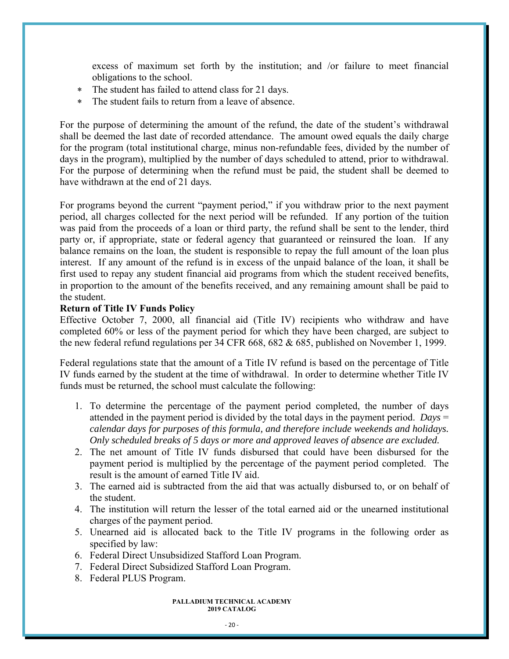excess of maximum set forth by the institution; and /or failure to meet financial obligations to the school.

- The student has failed to attend class for 21 days.
- The student fails to return from a leave of absence.

For the purpose of determining the amount of the refund, the date of the student's withdrawal shall be deemed the last date of recorded attendance. The amount owed equals the daily charge for the program (total institutional charge, minus non-refundable fees, divided by the number of days in the program), multiplied by the number of days scheduled to attend, prior to withdrawal. For the purpose of determining when the refund must be paid, the student shall be deemed to have withdrawn at the end of 21 days.

For programs beyond the current "payment period," if you withdraw prior to the next payment period, all charges collected for the next period will be refunded. If any portion of the tuition was paid from the proceeds of a loan or third party, the refund shall be sent to the lender, third party or, if appropriate, state or federal agency that guaranteed or reinsured the loan. If any balance remains on the loan, the student is responsible to repay the full amount of the loan plus interest. If any amount of the refund is in excess of the unpaid balance of the loan, it shall be first used to repay any student financial aid programs from which the student received benefits, in proportion to the amount of the benefits received, and any remaining amount shall be paid to the student.

### **Return of Title IV Funds Policy**

Effective October 7, 2000, all financial aid (Title IV) recipients who withdraw and have completed 60% or less of the payment period for which they have been charged, are subject to the new federal refund regulations per 34 CFR 668, 682 & 685, published on November 1, 1999.

Federal regulations state that the amount of a Title IV refund is based on the percentage of Title IV funds earned by the student at the time of withdrawal. In order to determine whether Title IV funds must be returned, the school must calculate the following:

- 1. To determine the percentage of the payment period completed, the number of days attended in the payment period is divided by the total days in the payment period. *Days* = *calendar days for purposes of this formula, and therefore include weekends and holidays. Only scheduled breaks of 5 days or more and approved leaves of absence are excluded.*
- 2. The net amount of Title IV funds disbursed that could have been disbursed for the payment period is multiplied by the percentage of the payment period completed. The result is the amount of earned Title IV aid.
- 3. The earned aid is subtracted from the aid that was actually disbursed to, or on behalf of the student.
- 4. The institution will return the lesser of the total earned aid or the unearned institutional charges of the payment period.
- 5. Unearned aid is allocated back to the Title IV programs in the following order as specified by law:
- 6. Federal Direct Unsubsidized Stafford Loan Program.
- 7. Federal Direct Subsidized Stafford Loan Program.
- 8. Federal PLUS Program.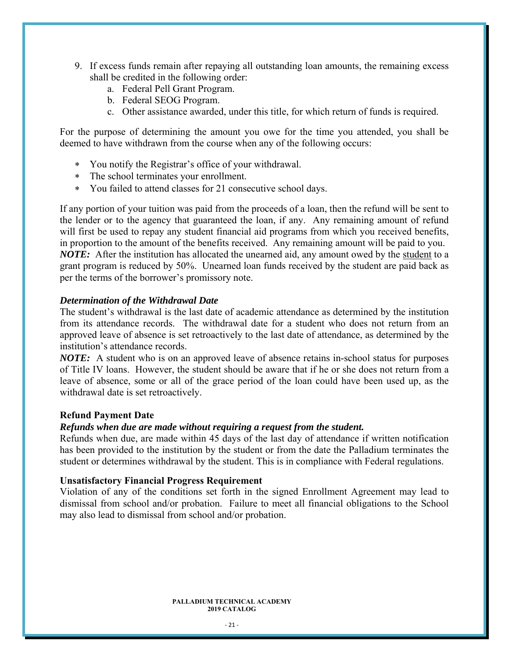- 9. If excess funds remain after repaying all outstanding loan amounts, the remaining excess shall be credited in the following order:
	- a. Federal Pell Grant Program.
	- b. Federal SEOG Program.
	- c. Other assistance awarded, under this title, for which return of funds is required.

For the purpose of determining the amount you owe for the time you attended, you shall be deemed to have withdrawn from the course when any of the following occurs:

- You notify the Registrar's office of your withdrawal.
- The school terminates your enrollment.
- You failed to attend classes for 21 consecutive school days.

If any portion of your tuition was paid from the proceeds of a loan, then the refund will be sent to the lender or to the agency that guaranteed the loan, if any. Any remaining amount of refund will first be used to repay any student financial aid programs from which you received benefits, in proportion to the amount of the benefits received. Any remaining amount will be paid to you. *NOTE:* After the institution has allocated the unearned aid, any amount owed by the student to a grant program is reduced by 50%. Unearned loan funds received by the student are paid back as per the terms of the borrower's promissory note.

#### *Determination of the Withdrawal Date*

The student's withdrawal is the last date of academic attendance as determined by the institution from its attendance records. The withdrawal date for a student who does not return from an approved leave of absence is set retroactively to the last date of attendance, as determined by the institution's attendance records.

*NOTE:* A student who is on an approved leave of absence retains in-school status for purposes of Title IV loans. However, the student should be aware that if he or she does not return from a leave of absence, some or all of the grace period of the loan could have been used up, as the withdrawal date is set retroactively.

#### **Refund Payment Date**

#### *Refunds when due are made without requiring a request from the student.*

Refunds when due, are made within 45 days of the last day of attendance if written notification has been provided to the institution by the student or from the date the Palladium terminates the student or determines withdrawal by the student. This is in compliance with Federal regulations.

#### **Unsatisfactory Financial Progress Requirement**

Violation of any of the conditions set forth in the signed Enrollment Agreement may lead to dismissal from school and/or probation. Failure to meet all financial obligations to the School may also lead to dismissal from school and/or probation.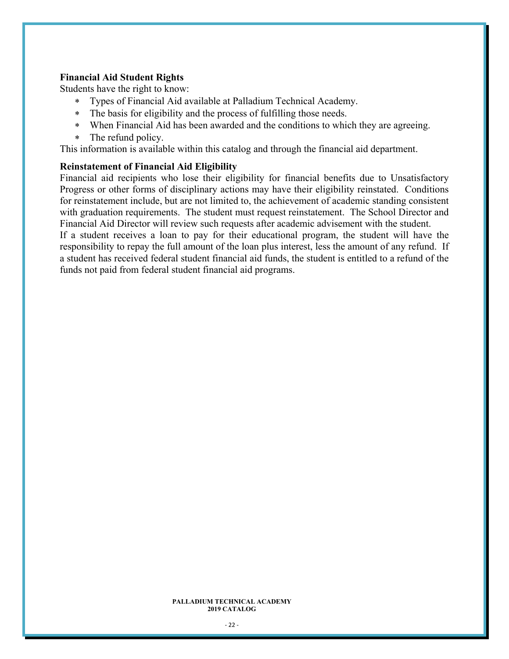#### **Financial Aid Student Rights**

Students have the right to know:

- Types of Financial Aid available at Palladium Technical Academy.
- The basis for eligibility and the process of fulfilling those needs.
- When Financial Aid has been awarded and the conditions to which they are agreeing.
- \* The refund policy.

This information is available within this catalog and through the financial aid department.

#### **Reinstatement of Financial Aid Eligibility**

Financial aid recipients who lose their eligibility for financial benefits due to Unsatisfactory Progress or other forms of disciplinary actions may have their eligibility reinstated. Conditions for reinstatement include, but are not limited to, the achievement of academic standing consistent with graduation requirements. The student must request reinstatement. The School Director and Financial Aid Director will review such requests after academic advisement with the student. If a student receives a loan to pay for their educational program, the student will have the

responsibility to repay the full amount of the loan plus interest, less the amount of any refund. If a student has received federal student financial aid funds, the student is entitled to a refund of the funds not paid from federal student financial aid programs.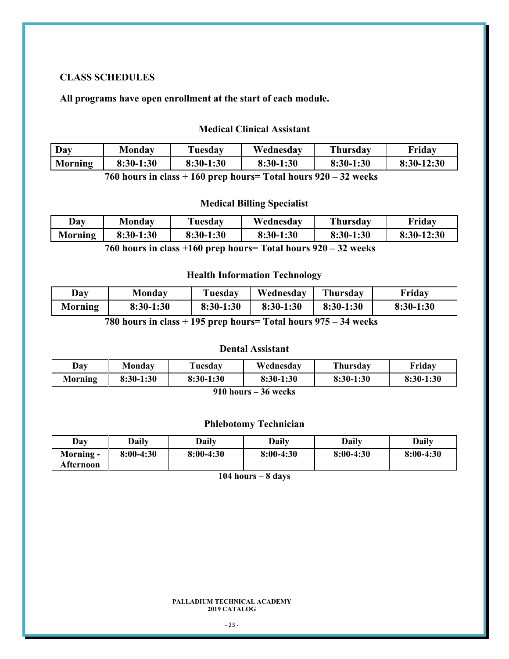#### **CLASS SCHEDULES**

**All programs have open enrollment at the start of each module.** 

### **Medical Clinical Assistant**

| Day     | Monday      | Tuesday     | Wednesdav | <b>Thursday</b> | Friday       |
|---------|-------------|-------------|-----------|-----------------|--------------|
| Morning | $8:30-1:30$ | $8:30-1:30$ | 8:30-1:30 | 8:30-1:30       | $8:30-12:30$ |

**760 hours in class + 160 prep hours= Total hours 920 – 32 weeks**

### **Medical Billing Specialist**

| Day            | <b>Monday</b> | Tuesday     | Wednesday    | Thursday             | Fridav       |
|----------------|---------------|-------------|--------------|----------------------|--------------|
| <b>Morning</b> | 8:30-1:30     | $8:30-1:30$ | 8:30-1:30    | $8:30-1:30$          | $8:30-12:30$ |
|                | H/A           |             | $\mathbf{r}$ | $\mathbf{A}$<br>ΛΛΛ. |              |

**760 hours in class +160 prep hours= Total hours 920 – 32 weeks** 

### **Health Information Technology**

| Day            | Monday    | Tuesday     | Wednesdav | Thursday  | Fridav      |
|----------------|-----------|-------------|-----------|-----------|-------------|
| <b>Morning</b> | 8:30-1:30 | $8:30-1:30$ | 8:30-1:30 | 8:30-1:30 | $8:30-1:30$ |

**780 hours in class + 195 prep hours= Total hours 975 – 34 weeks** 

### **Dental Assistant**

| Day     | Monday      | Tuesday     | Wednesday   | <b>Thursday</b> | Friday      |
|---------|-------------|-------------|-------------|-----------------|-------------|
| Morning | $8:30-1:30$ | $8:30-1:30$ | $8:30-1:30$ | $8:30-1:30$     | $8:30-1:30$ |
|         |             | 0.401       | $\sim$      |                 |             |

#### **910 hours – 36 weeks**

#### **Phlebotomy Technician**

| Day                    | Daily       | Daily       | Dailv       | <b>Daily</b> | Daily       |
|------------------------|-------------|-------------|-------------|--------------|-------------|
| Morning -<br>Afternoon | $8:00-4:30$ | $8:00-4:30$ | $8:00-4:30$ | $8:00-4:30$  | $8:00-4:30$ |

**104 hours – 8 days**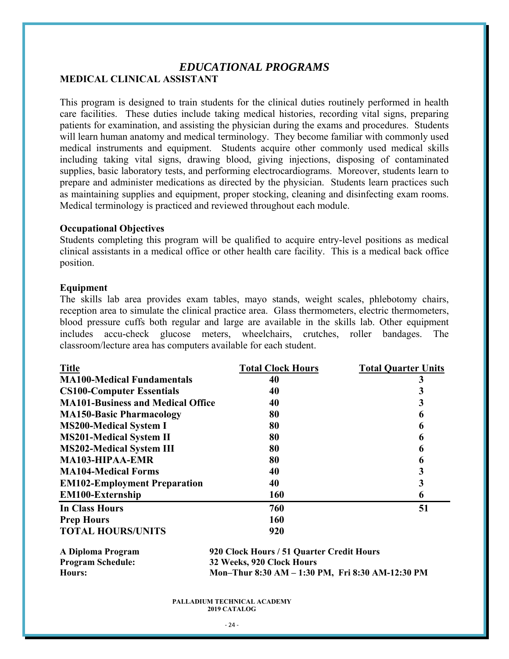### *EDUCATIONAL PROGRAMS* **MEDICAL CLINICAL ASSISTANT**

This program is designed to train students for the clinical duties routinely performed in health care facilities. These duties include taking medical histories, recording vital signs, preparing patients for examination, and assisting the physician during the exams and procedures. Students will learn human anatomy and medical terminology. They become familiar with commonly used medical instruments and equipment. Students acquire other commonly used medical skills including taking vital signs, drawing blood, giving injections, disposing of contaminated supplies, basic laboratory tests, and performing electrocardiograms. Moreover, students learn to prepare and administer medications as directed by the physician. Students learn practices such as maintaining supplies and equipment, proper stocking, cleaning and disinfecting exam rooms. Medical terminology is practiced and reviewed throughout each module.

#### **Occupational Objectives**

Students completing this program will be qualified to acquire entry-level positions as medical clinical assistants in a medical office or other health care facility. This is a medical back office position.

#### **Equipment**

The skills lab area provides exam tables, mayo stands, weight scales, phlebotomy chairs, reception area to simulate the clinical practice area. Glass thermometers, electric thermometers, blood pressure cuffs both regular and large are available in the skills lab. Other equipment includes accu-check glucose meters, wheelchairs, crutches, roller bandages. The classroom/lecture area has computers available for each student.

| <b>Title</b>                             | <b>Total Clock Hours</b> | <b>Total Quarter Units</b> |
|------------------------------------------|--------------------------|----------------------------|
| <b>MA100-Medical Fundamentals</b>        | 40                       |                            |
| <b>CS100-Computer Essentials</b>         | 40                       |                            |
| <b>MA101-Business and Medical Office</b> | 40                       |                            |
| <b>MA150-Basic Pharmacology</b>          | 80                       | 6                          |
| <b>MS200-Medical System I</b>            | 80                       | 6                          |
| <b>MS201-Medical System II</b>           | 80                       | 6                          |
| <b>MS202-Medical System III</b>          | 80                       | 6                          |
| <b>MA103-HIPAA-EMR</b>                   | 80                       | 6                          |
| <b>MA104-Medical Forms</b>               | 40                       |                            |
| <b>EM102-Employment Preparation</b>      | 40                       | 3                          |
| <b>EM100-Externship</b>                  | 160                      | 6                          |
| In Class Hours                           | 760                      | 51                         |
| <b>Prep Hours</b>                        | 160                      |                            |
| <b>TOTAL HOURS/UNITS</b>                 | 920                      |                            |

| A Diploma Program        | 920 Clock Hours / 51 Quarter Credit Hours        |
|--------------------------|--------------------------------------------------|
| <b>Program Schedule:</b> | 32 Weeks, 920 Clock Hours                        |
| Hours:                   | Mon-Thur 8:30 AM – 1:30 PM, Fri 8:30 AM-12:30 PM |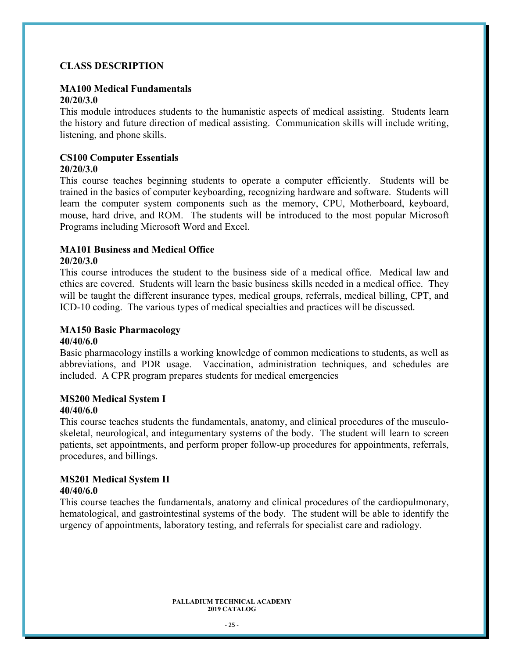### **CLASS DESCRIPTION**

#### **MA100 Medical Fundamentals 20/20/3.0**

This module introduces students to the humanistic aspects of medical assisting. Students learn the history and future direction of medical assisting. Communication skills will include writing, listening, and phone skills.

#### **CS100 Computer Essentials 20/20/3.0**

This course teaches beginning students to operate a computer efficiently. Students will be trained in the basics of computer keyboarding, recognizing hardware and software. Students will learn the computer system components such as the memory, CPU, Motherboard, keyboard, mouse, hard drive, and ROM. The students will be introduced to the most popular Microsoft Programs including Microsoft Word and Excel.

## **MA101 Business and Medical Office**

#### **20/20/3.0**

This course introduces the student to the business side of a medical office. Medical law and ethics are covered. Students will learn the basic business skills needed in a medical office. They will be taught the different insurance types, medical groups, referrals, medical billing, CPT, and ICD-10 coding. The various types of medical specialties and practices will be discussed.

### **MA150 Basic Pharmacology**

#### **40/40/6.0**

Basic pharmacology instills a working knowledge of common medications to students, as well as abbreviations, and PDR usage. Vaccination, administration techniques, and schedules are included. A CPR program prepares students for medical emergencies

### **MS200 Medical System I**

### **40/40/6.0**

This course teaches students the fundamentals, anatomy, and clinical procedures of the musculoskeletal, neurological, and integumentary systems of the body. The student will learn to screen patients, set appointments, and perform proper follow-up procedures for appointments, referrals, procedures, and billings.

### **MS201 Medical System II**

### **40/40/6.0**

This course teaches the fundamentals, anatomy and clinical procedures of the cardiopulmonary, hematological, and gastrointestinal systems of the body. The student will be able to identify the urgency of appointments, laboratory testing, and referrals for specialist care and radiology.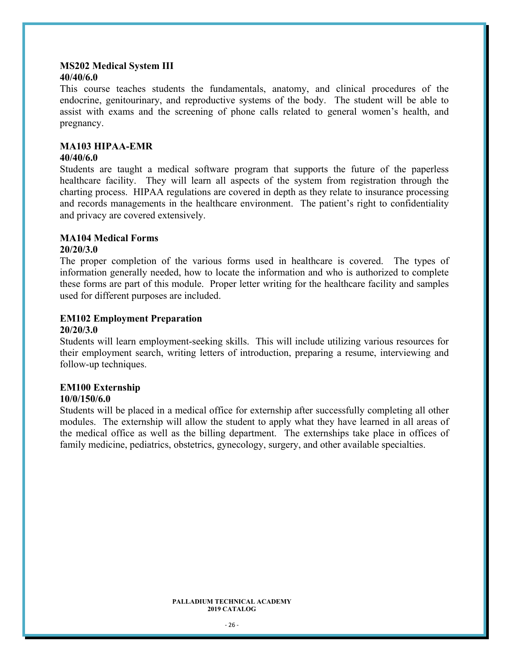#### **MS202 Medical System III 40/40/6.0**

This course teaches students the fundamentals, anatomy, and clinical procedures of the endocrine, genitourinary, and reproductive systems of the body. The student will be able to assist with exams and the screening of phone calls related to general women's health, and pregnancy.

### **MA103 HIPAA-EMR**

#### **40/40/6.0**

Students are taught a medical software program that supports the future of the paperless healthcare facility. They will learn all aspects of the system from registration through the charting process. HIPAA regulations are covered in depth as they relate to insurance processing and records managements in the healthcare environment. The patient's right to confidentiality and privacy are covered extensively.

### **MA104 Medical Forms**

### **20/20/3.0**

The proper completion of the various forms used in healthcare is covered. The types of information generally needed, how to locate the information and who is authorized to complete these forms are part of this module. Proper letter writing for the healthcare facility and samples used for different purposes are included.

### **EM102 Employment Preparation**

#### **20/20/3.0**

Students will learn employment-seeking skills. This will include utilizing various resources for their employment search, writing letters of introduction, preparing a resume, interviewing and follow-up techniques.

### **EM100 Externship**

### **10/0/150/6.0**

Students will be placed in a medical office for externship after successfully completing all other modules. The externship will allow the student to apply what they have learned in all areas of the medical office as well as the billing department. The externships take place in offices of family medicine, pediatrics, obstetrics, gynecology, surgery, and other available specialties.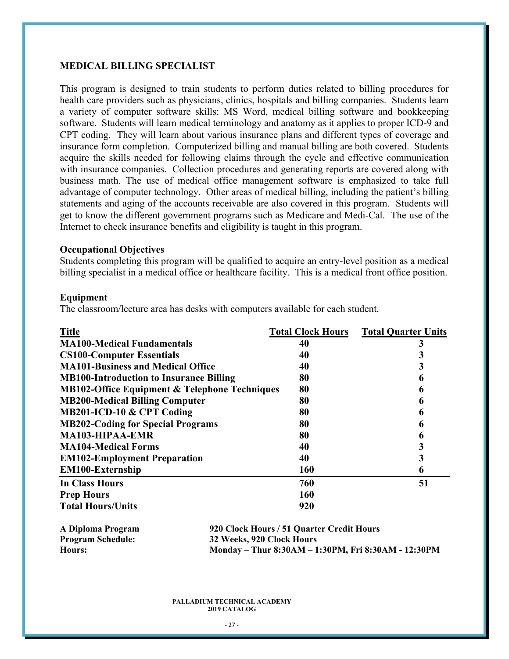#### **MEDICAL BILLING SPECIALIST**

This program is designed to train students to perform duties related to billing procedures for health care providers such as physicians, clinics, hospitals and billing companies. Students learn a variety of computer software skills: MS Word, medical billing software and bookkeeping software. Students will learn medical terminology and anatomy as it applies to proper ICD-9 and CPT coding. They will learn about various insurance plans and different types of coverage and insurance form completion. Computerized billing and manual billing are both covered. Students acquire the skills needed for following claims through the cycle and effective communication with insurance companies. Collection procedures and generating reports are covered along with business math. The use of medical office management software is emphasized to take full advantage of computer technology. Other areas of medical billing, including the patient's billing statements and aging of the accounts receivable are also covered in this program. Students will get to know the different government programs such as Medicare and Medi-Cal. The use of the Internet to check insurance benefits and eligibility is taught in this program.

#### **Occupational Objectives**

Students completing this program will be qualified to acquire an entry-level position as a medical billing specialist in a medical office or healthcare facility. This is a medical front office position.

#### **Equipment**

The classroom/lecture area has desks with computers available for each student.

| <b>Title</b>                                             | <b>Total Clock Hours</b> | <b>Total Quarter Units</b> |
|----------------------------------------------------------|--------------------------|----------------------------|
| <b>MA100-Medical Fundamentals</b>                        | 40                       |                            |
| <b>CS100-Computer Essentials</b>                         | 40                       |                            |
| <b>MA101-Business and Medical Office</b>                 | 40                       |                            |
| <b>MB100-Introduction to Insurance Billing</b>           | 80                       | h                          |
| <b>MB102-Office Equipment &amp; Telephone Techniques</b> | 80                       | 6                          |
| <b>MB200-Medical Billing Computer</b>                    | 80                       | 6                          |
| MB201-ICD-10 & CPT Coding                                | 80                       | 6                          |
| <b>MB202-Coding for Special Programs</b>                 | 80                       | h                          |
| <b>MA103-HIPAA-EMR</b>                                   | 80                       | h                          |
| <b>MA104-Medical Forms</b>                               | 40                       |                            |
| <b>EM102-Employment Preparation</b>                      | 40                       |                            |
| <b>EM100-Externship</b>                                  | <b>160</b>               | 6                          |
| <b>In Class Hours</b>                                    | 760                      | 51                         |
| <b>Prep Hours</b>                                        | 160                      |                            |
| <b>Total Hours/Units</b>                                 | 920                      |                            |

| A Diploma Program        |
|--------------------------|
| <b>Program Schedule:</b> |
| Hours:                   |

**920 Clock Hours / 51 Quarter Credit Hours 32 Weeks, 920 Clock Hours Hours: Monday – Thur 8:30AM – 1:30PM, Fri 8:30AM - 12:30PM**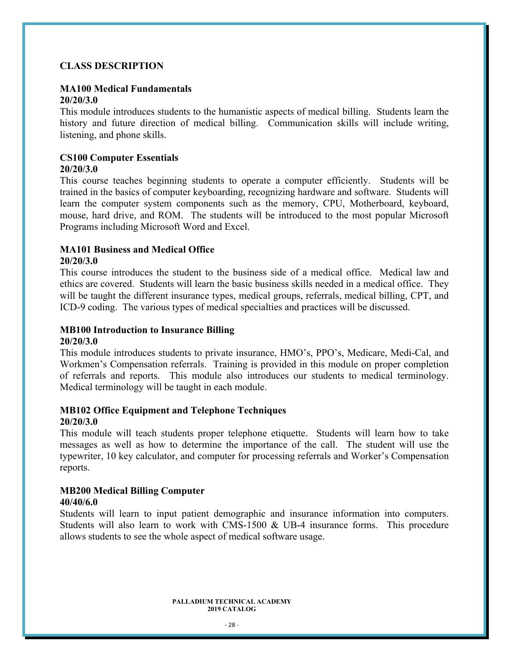### **CLASS DESCRIPTION**

#### **MA100 Medical Fundamentals 20/20/3.0**

This module introduces students to the humanistic aspects of medical billing. Students learn the history and future direction of medical billing. Communication skills will include writing, listening, and phone skills.

#### **CS100 Computer Essentials 20/20/3.0**

This course teaches beginning students to operate a computer efficiently. Students will be trained in the basics of computer keyboarding, recognizing hardware and software. Students will learn the computer system components such as the memory, CPU, Motherboard, keyboard, mouse, hard drive, and ROM. The students will be introduced to the most popular Microsoft Programs including Microsoft Word and Excel.

## **MA101 Business and Medical Office**

#### **20/20/3.0**

This course introduces the student to the business side of a medical office. Medical law and ethics are covered. Students will learn the basic business skills needed in a medical office. They will be taught the different insurance types, medical groups, referrals, medical billing, CPT, and ICD-9 coding. The various types of medical specialties and practices will be discussed.

## **MB100 Introduction to Insurance Billing**

### **20/20/3.0**

This module introduces students to private insurance, HMO's, PPO's, Medicare, Medi-Cal, and Workmen's Compensation referrals. Training is provided in this module on proper completion of referrals and reports. This module also introduces our students to medical terminology. Medical terminology will be taught in each module.

#### **MB102 Office Equipment and Telephone Techniques 20/20/3.0**

This module will teach students proper telephone etiquette. Students will learn how to take messages as well as how to determine the importance of the call. The student will use the typewriter, 10 key calculator, and computer for processing referrals and Worker's Compensation reports.

#### **MB200 Medical Billing Computer 40/40/6.0**

Students will learn to input patient demographic and insurance information into computers. Students will also learn to work with CMS-1500 & UB-4 insurance forms. This procedure allows students to see the whole aspect of medical software usage.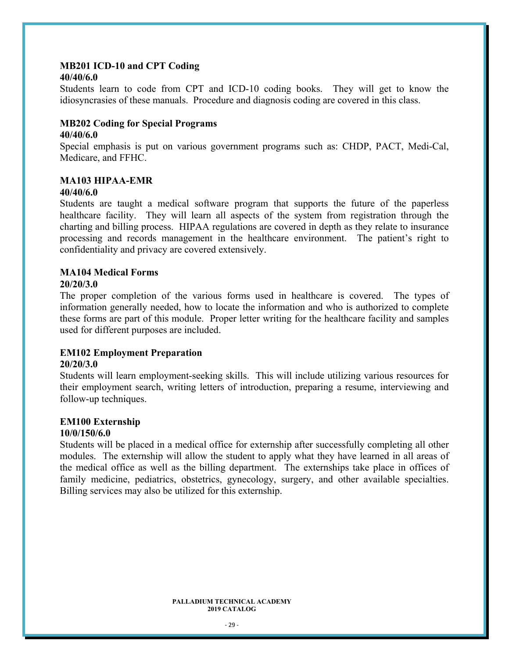## **MB201 ICD-10 and CPT Coding**

#### **40/40/6.0**

Students learn to code from CPT and ICD-10 coding books. They will get to know the idiosyncrasies of these manuals. Procedure and diagnosis coding are covered in this class.

#### **MB202 Coding for Special Programs 40/40/6.0**

Special emphasis is put on various government programs such as: CHDP, PACT, Medi-Cal, Medicare, and FFHC.

## **MA103 HIPAA-EMR**

### **40/40/6.0**

Students are taught a medical software program that supports the future of the paperless healthcare facility. They will learn all aspects of the system from registration through the charting and billing process. HIPAA regulations are covered in depth as they relate to insurance processing and records management in the healthcare environment. The patient's right to confidentiality and privacy are covered extensively.

#### **MA104 Medical Forms**

#### **20/20/3.0**

The proper completion of the various forms used in healthcare is covered. The types of information generally needed, how to locate the information and who is authorized to complete these forms are part of this module. Proper letter writing for the healthcare facility and samples used for different purposes are included.

#### **EM102 Employment Preparation**

#### **20/20/3.0**

Students will learn employment-seeking skills. This will include utilizing various resources for their employment search, writing letters of introduction, preparing a resume, interviewing and follow-up techniques.

#### **EM100 Externship**

#### **10/0/150/6.0**

Students will be placed in a medical office for externship after successfully completing all other modules. The externship will allow the student to apply what they have learned in all areas of the medical office as well as the billing department. The externships take place in offices of family medicine, pediatrics, obstetrics, gynecology, surgery, and other available specialties. Billing services may also be utilized for this externship.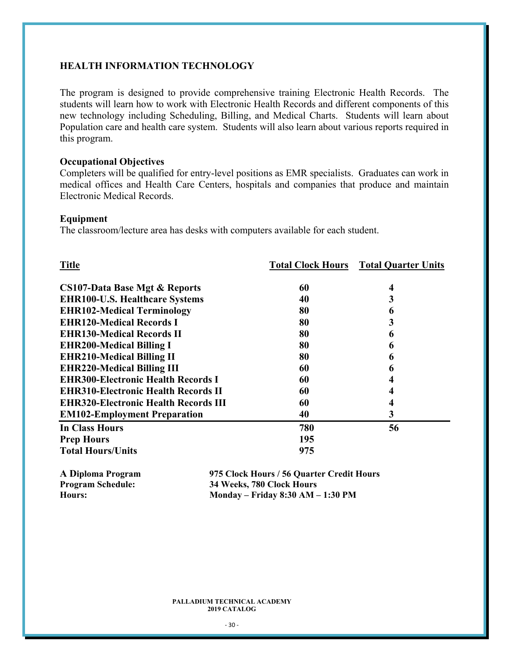#### **HEALTH INFORMATION TECHNOLOGY**

The program is designed to provide comprehensive training Electronic Health Records. The students will learn how to work with Electronic Health Records and different components of this new technology including Scheduling, Billing, and Medical Charts. Students will learn about Population care and health care system. Students will also learn about various reports required in this program.

#### **Occupational Objectives**

Completers will be qualified for entry-level positions as EMR specialists. Graduates can work in medical offices and Health Care Centers, hospitals and companies that produce and maintain Electronic Medical Records.

#### **Equipment**

The classroom/lecture area has desks with computers available for each student.

| <b>Title</b>                                |     | <b>Total Clock Hours</b> Total Quarter Units |
|---------------------------------------------|-----|----------------------------------------------|
| <b>CS107-Data Base Mgt &amp; Reports</b>    | 60  | 4                                            |
| <b>EHR100-U.S. Healthcare Systems</b>       | 40  | 3                                            |
| <b>EHR102-Medical Terminology</b>           | 80  | 6                                            |
| <b>EHR120-Medical Records I</b>             | 80  | 3                                            |
| <b>EHR130-Medical Records II</b>            | 80  | 6                                            |
| <b>EHR200-Medical Billing I</b>             | 80  | 6                                            |
| <b>EHR210-Medical Billing II</b>            | 80  | 6                                            |
| <b>EHR220-Medical Billing III</b>           | 60  | 6                                            |
| <b>EHR300-Electronic Health Records I</b>   | 60  |                                              |
| <b>EHR310-Electronic Health Records II</b>  | 60  |                                              |
| <b>EHR320-Electronic Health Records III</b> | 60  |                                              |
| <b>EM102-Employment Preparation</b>         | 40  | 3                                            |
| <b>In Class Hours</b>                       | 780 | 56                                           |
| <b>Prep Hours</b>                           | 195 |                                              |
| <b>Total Hours/Units</b>                    | 975 |                                              |
|                                             |     |                                              |

| A Diploma Program        | 975 Clock Hours / 56 Quarter Credit Hours |
|--------------------------|-------------------------------------------|
| <b>Program Schedule:</b> | 34 Weeks, 780 Clock Hours                 |
| Hours:                   | Monday – Friday 8:30 AM – 1:30 PM         |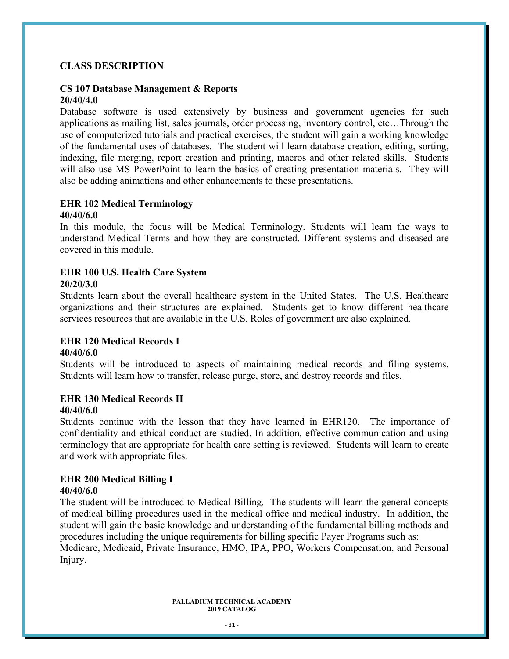### **CLASS DESCRIPTION**

#### **CS 107 Database Management & Reports 20/40/4.0**

Database software is used extensively by business and government agencies for such applications as mailing list, sales journals, order processing, inventory control, etc…Through the use of computerized tutorials and practical exercises, the student will gain a working knowledge of the fundamental uses of databases. The student will learn database creation, editing, sorting, indexing, file merging, report creation and printing, macros and other related skills. Students will also use MS PowerPoint to learn the basics of creating presentation materials. They will also be adding animations and other enhancements to these presentations.

#### **EHR 102 Medical Terminology 40/40/6.0**

In this module, the focus will be Medical Terminology. Students will learn the ways to understand Medical Terms and how they are constructed. Different systems and diseased are covered in this module.

#### **EHR 100 U.S. Health Care System 20/20/3.0**

Students learn about the overall healthcare system in the United States. The U.S. Healthcare organizations and their structures are explained. Students get to know different healthcare services resources that are available in the U.S. Roles of government are also explained.

### **EHR 120 Medical Records I**

### **40/40/6.0**

Students will be introduced to aspects of maintaining medical records and filing systems. Students will learn how to transfer, release purge, store, and destroy records and files.

### **EHR 130 Medical Records II**

#### **40/40/6.0**

Students continue with the lesson that they have learned in EHR120. The importance of confidentiality and ethical conduct are studied. In addition, effective communication and using terminology that are appropriate for health care setting is reviewed. Students will learn to create and work with appropriate files.

### **EHR 200 Medical Billing I**

#### **40/40/6.0**

The student will be introduced to Medical Billing. The students will learn the general concepts of medical billing procedures used in the medical office and medical industry. In addition, the student will gain the basic knowledge and understanding of the fundamental billing methods and procedures including the unique requirements for billing specific Payer Programs such as: Medicare, Medicaid, Private Insurance, HMO, IPA, PPO, Workers Compensation, and Personal Injury.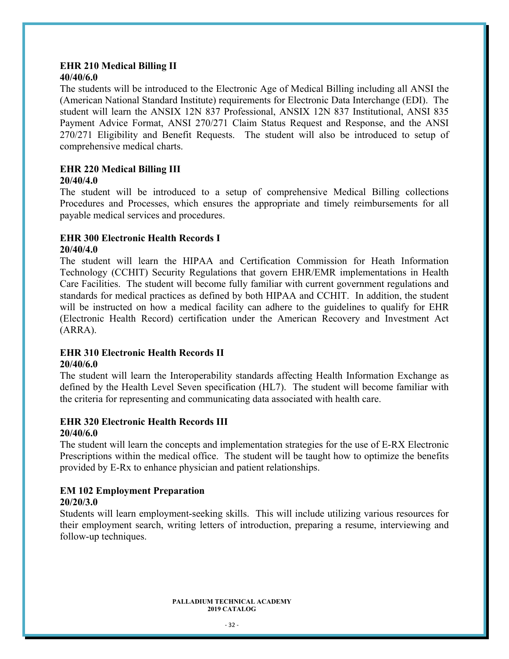#### **EHR 210 Medical Billing II 40/40/6.0**

The students will be introduced to the Electronic Age of Medical Billing including all ANSI the (American National Standard Institute) requirements for Electronic Data Interchange (EDI). The student will learn the ANSIX 12N 837 Professional, ANSIX 12N 837 Institutional, ANSI 835 Payment Advice Format, ANSI 270/271 Claim Status Request and Response, and the ANSI 270/271 Eligibility and Benefit Requests. The student will also be introduced to setup of comprehensive medical charts.

### **EHR 220 Medical Billing III**

### **20/40/4.0**

The student will be introduced to a setup of comprehensive Medical Billing collections Procedures and Processes, which ensures the appropriate and timely reimbursements for all payable medical services and procedures.

#### **EHR 300 Electronic Health Records I 20/40/4.0**

The student will learn the HIPAA and Certification Commission for Heath Information Technology (CCHIT) Security Regulations that govern EHR/EMR implementations in Health Care Facilities. The student will become fully familiar with current government regulations and standards for medical practices as defined by both HIPAA and CCHIT. In addition, the student will be instructed on how a medical facility can adhere to the guidelines to qualify for EHR (Electronic Health Record) certification under the American Recovery and Investment Act (ARRA).

#### **EHR 310 Electronic Health Records II 20/40/6.0**

The student will learn the Interoperability standards affecting Health Information Exchange as defined by the Health Level Seven specification (HL7). The student will become familiar with the criteria for representing and communicating data associated with health care.

#### **EHR 320 Electronic Health Records III 20/40/6.0**

The student will learn the concepts and implementation strategies for the use of E-RX Electronic Prescriptions within the medical office. The student will be taught how to optimize the benefits provided by E-Rx to enhance physician and patient relationships.

## **EM 102 Employment Preparation**

### **20/20/3.0**

Students will learn employment-seeking skills. This will include utilizing various resources for their employment search, writing letters of introduction, preparing a resume, interviewing and follow-up techniques.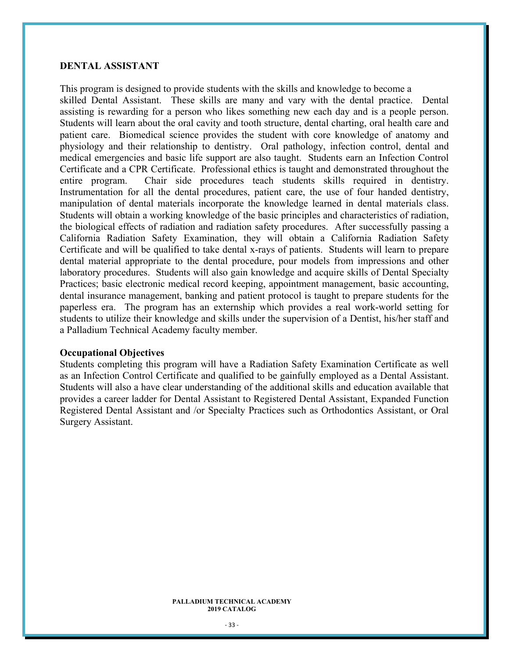#### **DENTAL ASSISTANT**

This program is designed to provide students with the skills and knowledge to become a skilled Dental Assistant. These skills are many and vary with the dental practice. Dental assisting is rewarding for a person who likes something new each day and is a people person. Students will learn about the oral cavity and tooth structure, dental charting, oral health care and patient care. Biomedical science provides the student with core knowledge of anatomy and physiology and their relationship to dentistry. Oral pathology, infection control, dental and medical emergencies and basic life support are also taught. Students earn an Infection Control Certificate and a CPR Certificate. Professional ethics is taught and demonstrated throughout the entire program. Chair side procedures teach students skills required in dentistry. Instrumentation for all the dental procedures, patient care, the use of four handed dentistry, manipulation of dental materials incorporate the knowledge learned in dental materials class. Students will obtain a working knowledge of the basic principles and characteristics of radiation, the biological effects of radiation and radiation safety procedures. After successfully passing a California Radiation Safety Examination, they will obtain a California Radiation Safety Certificate and will be qualified to take dental x-rays of patients. Students will learn to prepare dental material appropriate to the dental procedure, pour models from impressions and other laboratory procedures. Students will also gain knowledge and acquire skills of Dental Specialty Practices; basic electronic medical record keeping, appointment management, basic accounting, dental insurance management, banking and patient protocol is taught to prepare students for the paperless era. The program has an externship which provides a real work-world setting for students to utilize their knowledge and skills under the supervision of a Dentist, his/her staff and a Palladium Technical Academy faculty member.

#### **Occupational Objectives**

Students completing this program will have a Radiation Safety Examination Certificate as well as an Infection Control Certificate and qualified to be gainfully employed as a Dental Assistant. Students will also a have clear understanding of the additional skills and education available that provides a career ladder for Dental Assistant to Registered Dental Assistant, Expanded Function Registered Dental Assistant and /or Specialty Practices such as Orthodontics Assistant, or Oral Surgery Assistant.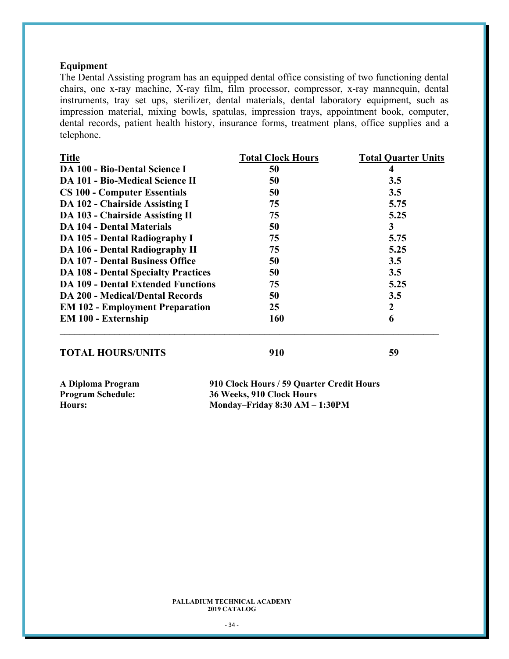### **Equipment**

The Dental Assisting program has an equipped dental office consisting of two functioning dental chairs, one x-ray machine, X-ray film, film processor, compressor, x-ray mannequin, dental instruments, tray set ups, sterilizer, dental materials, dental laboratory equipment, such as impression material, mixing bowls, spatulas, impression trays, appointment book, computer, dental records, patient health history, insurance forms, treatment plans, office supplies and a telephone.

| <b>Total Clock Hours</b> | <b>Total Quarter Units</b> |
|--------------------------|----------------------------|
| 50                       | 4                          |
| 50                       | 3.5                        |
| 50                       | 3.5                        |
| 75                       | 5.75                       |
| 75                       | 5.25                       |
| 50                       | 3                          |
| 75                       | 5.75                       |
| 75                       | 5.25                       |
| 50                       | 3.5                        |
| 50                       | 3.5                        |
| 75                       | 5.25                       |
| 50                       | 3.5                        |
| 25                       | $\boldsymbol{2}$           |
| <b>160</b>               | 6                          |
|                          |                            |

### **TOTAL HOURS/UNITS** 910 **59**

| A Diploma Program | 910 Clock Hours / 59 Quarter Credit Hours |
|-------------------|-------------------------------------------|
| Program Schedule: | 36 Weeks, 910 Clock Hours                 |
| Hours:            | Monday-Friday $8:30$ AM $-1:30$ PM        |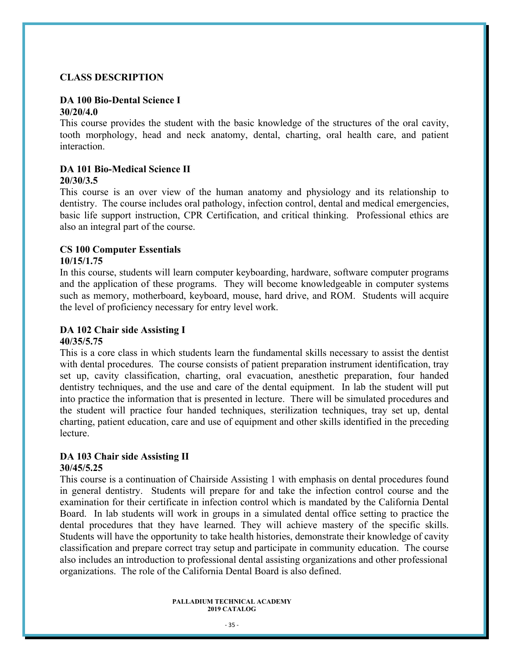#### **CLASS DESCRIPTION**

#### **DA 100 Bio-Dental Science I 30/20/4.0**

This course provides the student with the basic knowledge of the structures of the oral cavity, tooth morphology, head and neck anatomy, dental, charting, oral health care, and patient interaction.

### **DA 101 Bio-Medical Science II**

#### **20/30/3.5**

This course is an over view of the human anatomy and physiology and its relationship to dentistry. The course includes oral pathology, infection control, dental and medical emergencies, basic life support instruction, CPR Certification, and critical thinking. Professional ethics are also an integral part of the course.

### **CS 100 Computer Essentials**

#### **10/15/1.75**

In this course, students will learn computer keyboarding, hardware, software computer programs and the application of these programs. They will become knowledgeable in computer systems such as memory, motherboard, keyboard, mouse, hard drive, and ROM. Students will acquire the level of proficiency necessary for entry level work.

### **DA 102 Chair side Assisting I 40/35/5.75**

This is a core class in which students learn the fundamental skills necessary to assist the dentist with dental procedures. The course consists of patient preparation instrument identification, tray set up, cavity classification, charting, oral evacuation, anesthetic preparation, four handed dentistry techniques, and the use and care of the dental equipment. In lab the student will put into practice the information that is presented in lecture. There will be simulated procedures and the student will practice four handed techniques, sterilization techniques, tray set up, dental charting, patient education, care and use of equipment and other skills identified in the preceding lecture.

#### **DA 103 Chair side Assisting II 30/45/5.25**

This course is a continuation of Chairside Assisting 1 with emphasis on dental procedures found in general dentistry. Students will prepare for and take the infection control course and the examination for their certificate in infection control which is mandated by the California Dental Board. In lab students will work in groups in a simulated dental office setting to practice the dental procedures that they have learned. They will achieve mastery of the specific skills. Students will have the opportunity to take health histories, demonstrate their knowledge of cavity classification and prepare correct tray setup and participate in community education. The course also includes an introduction to professional dental assisting organizations and other professional organizations. The role of the California Dental Board is also defined.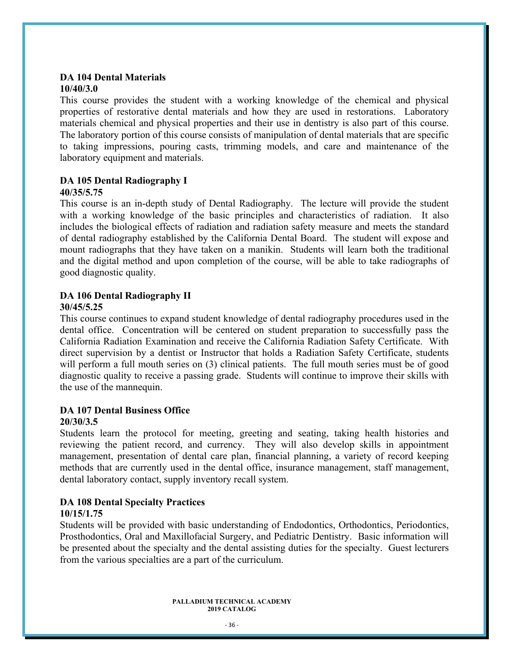### **DA 104 Dental Materials 10/40/3.0**

This course provides the student with a working knowledge of the chemical and physical properties of restorative dental materials and how they are used in restorations. Laboratory materials chemical and physical properties and their use in dentistry is also part of this course. The laboratory portion of this course consists of manipulation of dental materials that are specific to taking impressions, pouring casts, trimming models, and care and maintenance of the laboratory equipment and materials.

## **DA 105 Dental Radiography I**

### **40/35/5.75**

This course is an in-depth study of Dental Radiography. The lecture will provide the student with a working knowledge of the basic principles and characteristics of radiation. It also includes the biological effects of radiation and radiation safety measure and meets the standard of dental radiography established by the California Dental Board. The student will expose and mount radiographs that they have taken on a manikin. Students will learn both the traditional and the digital method and upon completion of the course, will be able to take radiographs of good diagnostic quality.

#### **DA 106 Dental Radiography II 30/45/5.25**

This course continues to expand student knowledge of dental radiography procedures used in the dental office. Concentration will be centered on student preparation to successfully pass the California Radiation Examination and receive the California Radiation Safety Certificate. With direct supervision by a dentist or Instructor that holds a Radiation Safety Certificate, students will perform a full mouth series on (3) clinical patients. The full mouth series must be of good diagnostic quality to receive a passing grade. Students will continue to improve their skills with the use of the mannequin.

## **DA 107 Dental Business Office**

### **20/30/3.5**

Students learn the protocol for meeting, greeting and seating, taking health histories and reviewing the patient record, and currency. They will also develop skills in appointment management, presentation of dental care plan, financial planning, a variety of record keeping methods that are currently used in the dental office, insurance management, staff management, dental laboratory contact, supply inventory recall system.

#### **DA 108 Dental Specialty Practices 10/15/1.75**

Students will be provided with basic understanding of Endodontics, Orthodontics, Periodontics, Prosthodontics, Oral and Maxillofacial Surgery, and Pediatric Dentistry. Basic information will be presented about the specialty and the dental assisting duties for the specialty. Guest lecturers from the various specialties are a part of the curriculum.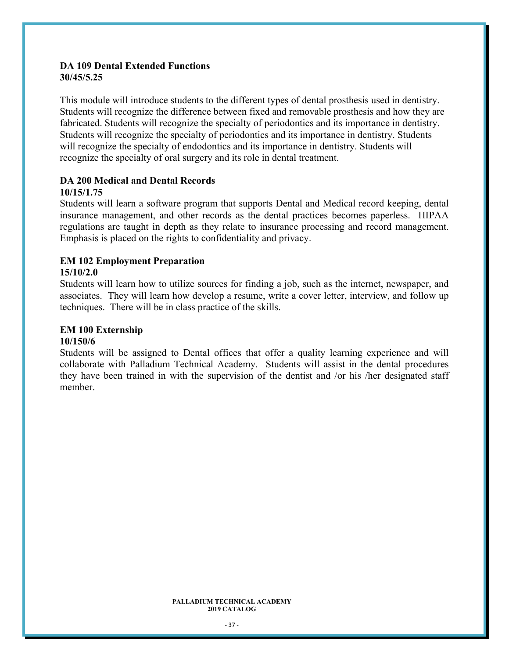### **DA 109 Dental Extended Functions 30/45/5.25**

This module will introduce students to the different types of dental prosthesis used in dentistry. Students will recognize the difference between fixed and removable prosthesis and how they are fabricated. Students will recognize the specialty of periodontics and its importance in dentistry. Students will recognize the specialty of periodontics and its importance in dentistry. Students will recognize the specialty of endodontics and its importance in dentistry. Students will recognize the specialty of oral surgery and its role in dental treatment.

#### **DA 200 Medical and Dental Records 10/15/1.75**

Students will learn a software program that supports Dental and Medical record keeping, dental insurance management, and other records as the dental practices becomes paperless. HIPAA regulations are taught in depth as they relate to insurance processing and record management. Emphasis is placed on the rights to confidentiality and privacy.

## **EM 102 Employment Preparation**

### **15/10/2.0**

Students will learn how to utilize sources for finding a job, such as the internet, newspaper, and associates. They will learn how develop a resume, write a cover letter, interview, and follow up techniques. There will be in class practice of the skills.

### **EM 100 Externship**

#### **10/150/6**

Students will be assigned to Dental offices that offer a quality learning experience and will collaborate with Palladium Technical Academy. Students will assist in the dental procedures they have been trained in with the supervision of the dentist and /or his /her designated staff member.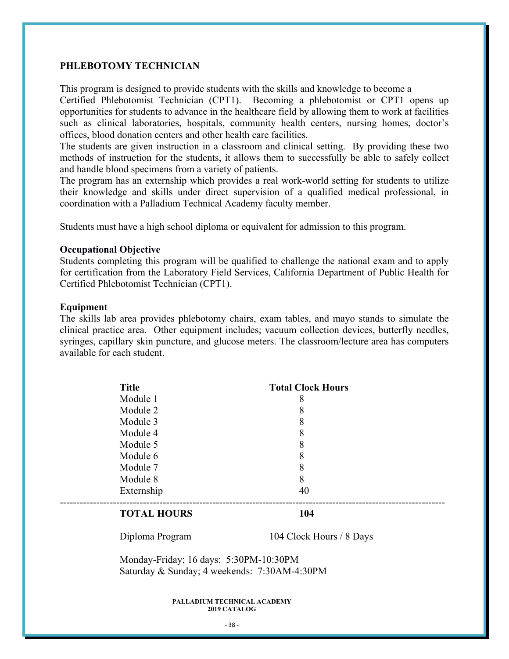#### **PHLEBOTOMY TECHNICIAN**

This program is designed to provide students with the skills and knowledge to become a

Certified Phlebotomist Technician (CPT1). Becoming a phlebotomist or CPT1 opens up opportunities for students to advance in the healthcare field by allowing them to work at facilities such as clinical laboratories, hospitals, community health centers, nursing homes, doctor's offices, blood donation centers and other health care facilities.

The students are given instruction in a classroom and clinical setting. By providing these two methods of instruction for the students, it allows them to successfully be able to safely collect and handle blood specimens from a variety of patients.

The program has an externship which provides a real work-world setting for students to utilize their knowledge and skills under direct supervision of a qualified medical professional, in coordination with a Palladium Technical Academy faculty member.

Students must have a high school diploma or equivalent for admission to this program.

#### **Occupational Objective**

Students completing this program will be qualified to challenge the national exam and to apply for certification from the Laboratory Field Services, California Department of Public Health for Certified Phlebotomist Technician (CPT1).

#### **Equipment**

The skills lab area provides phlebotomy chairs, exam tables, and mayo stands to simulate the clinical practice area. Other equipment includes; vacuum collection devices, butterfly needles, syringes, capillary skin puncture, and glucose meters. The classroom/lecture area has computers available for each student.

| <b>Title</b> | <b>Total Clock Hours</b> |  |
|--------------|--------------------------|--|
| Module 1     | 8                        |  |
| Module 2     | 8                        |  |
| Module 3     | 8                        |  |
| Module 4     | 8                        |  |
| Module 5     | 8                        |  |
| Module 6     | 8                        |  |
| Module 7     | 8                        |  |
| Module 8     | 8                        |  |
| Externship   | 40                       |  |
|              |                          |  |

#### **TOTAL HOURS** 104

Diploma Program 104 Clock Hours / 8 Days

Monday-Friday; 16 days: 5:30PM-10:30PM Saturday & Sunday; 4 weekends: 7:30AM-4:30PM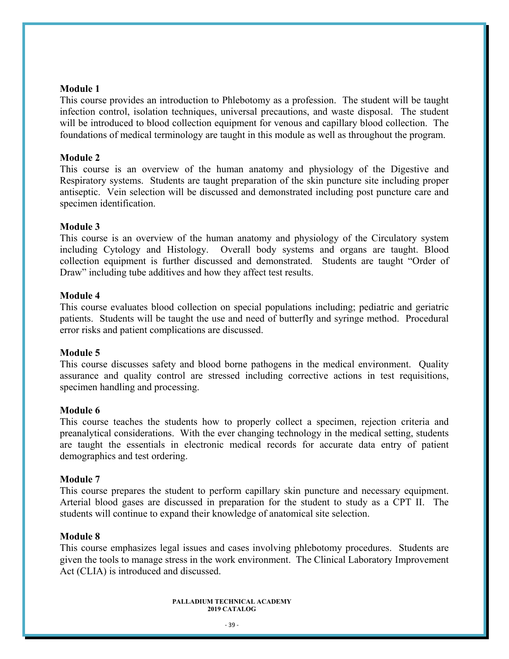#### **Module 1**

This course provides an introduction to Phlebotomy as a profession. The student will be taught infection control, isolation techniques, universal precautions, and waste disposal. The student will be introduced to blood collection equipment for venous and capillary blood collection. The foundations of medical terminology are taught in this module as well as throughout the program.

#### **Module 2**

This course is an overview of the human anatomy and physiology of the Digestive and Respiratory systems. Students are taught preparation of the skin puncture site including proper antiseptic. Vein selection will be discussed and demonstrated including post puncture care and specimen identification.

#### **Module 3**

This course is an overview of the human anatomy and physiology of the Circulatory system including Cytology and Histology. Overall body systems and organs are taught. Blood collection equipment is further discussed and demonstrated. Students are taught "Order of Draw" including tube additives and how they affect test results.

#### **Module 4**

This course evaluates blood collection on special populations including; pediatric and geriatric patients. Students will be taught the use and need of butterfly and syringe method. Procedural error risks and patient complications are discussed.

#### **Module 5**

This course discusses safety and blood borne pathogens in the medical environment. Quality assurance and quality control are stressed including corrective actions in test requisitions, specimen handling and processing.

#### **Module 6**

This course teaches the students how to properly collect a specimen, rejection criteria and preanalytical considerations. With the ever changing technology in the medical setting, students are taught the essentials in electronic medical records for accurate data entry of patient demographics and test ordering.

#### **Module 7**

This course prepares the student to perform capillary skin puncture and necessary equipment. Arterial blood gases are discussed in preparation for the student to study as a CPT II. The students will continue to expand their knowledge of anatomical site selection.

#### **Module 8**

This course emphasizes legal issues and cases involving phlebotomy procedures. Students are given the tools to manage stress in the work environment. The Clinical Laboratory Improvement Act (CLIA) is introduced and discussed.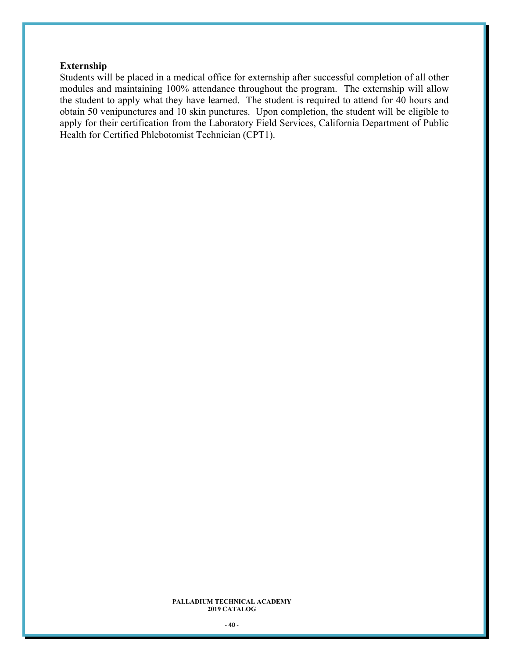### **Externship**

Students will be placed in a medical office for externship after successful completion of all other modules and maintaining 100% attendance throughout the program. The externship will allow the student to apply what they have learned. The student is required to attend for 40 hours and obtain 50 venipunctures and 10 skin punctures. Upon completion, the student will be eligible to apply for their certification from the Laboratory Field Services, California Department of Public Health for Certified Phlebotomist Technician (CPT1).